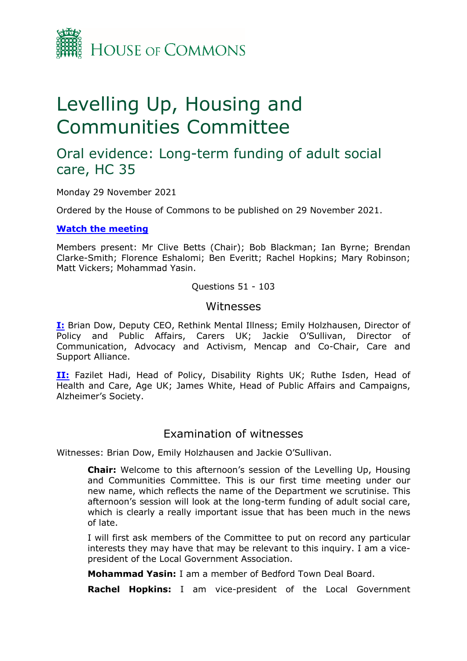

# Levelling Up, Housing and Communities Committee

## Oral evidence: Long-term funding of adult social care, HC 35

Monday 29 November 2021

Ordered by the House of Commons to be published on 29 November 2021.

**[Watch](https://parliamentlive.tv/Event/Index/09b22c1c-e319-47a5-b5d7-17d6cb297beb) [the](https://parliamentlive.tv/Event/Index/09b22c1c-e319-47a5-b5d7-17d6cb297beb) [meeting](https://parliamentlive.tv/Event/Index/09b22c1c-e319-47a5-b5d7-17d6cb297beb)**

Members present: Mr Clive Betts (Chair); Bob Blackman; Ian Byrne; Brendan Clarke-Smith; Florence Eshalomi; Ben Everitt; Rachel Hopkins; Mary Robinson; Matt Vickers; Mohammad Yasin.

Questions 51 - 103

#### **Witnesses**

**[I:](#page-0-0)** Brian Dow, Deputy CEO, Rethink Mental Illness; Emily Holzhausen, Director of Policy and Public Affairs, Carers UK; Jackie O'Sullivan, Director of Communication, Advocacy and Activism, Mencap and Co-Chair, Care and Support Alliance.

**[II:](#page-17-0)** Fazilet Hadi, Head of Policy, Disability Rights UK; Ruthe Isden, Head of Health and Care, Age UK; James White, Head of Public Affairs and Campaigns, Alzheimer's Society.

### <span id="page-0-0"></span>Examination of witnesses

Witnesses: Brian Dow, Emily Holzhausen and Jackie O'Sullivan.

**Chair:** Welcome to this afternoon's session of the Levelling Up, Housing and Communities Committee. This is our first time meeting under our new name, which reflects the name of the Department we scrutinise. This afternoon's session will look at the long-term funding of adult social care, which is clearly a really important issue that has been much in the news of late.

I will first ask members of the Committee to put on record any particular interests they may have that may be relevant to this inquiry. I am a vicepresident of the Local Government Association.

**Mohammad Yasin:** I am a member of Bedford Town Deal Board.

**Rachel Hopkins:** I am vice-president of the Local Government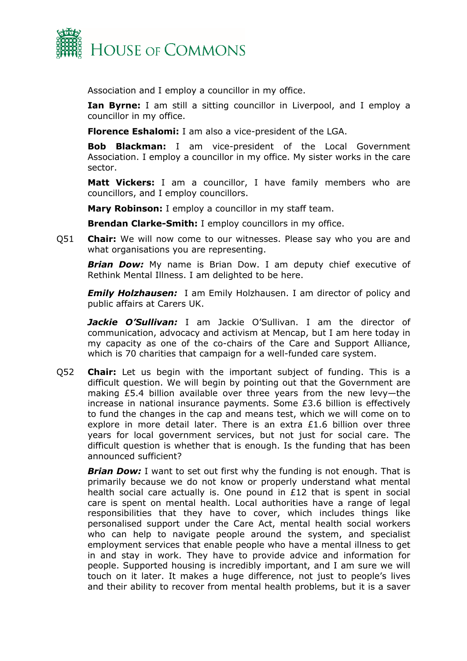

Association and I employ a councillor in my office.

**Ian Byrne:** I am still a sitting councillor in Liverpool, and I employ a councillor in my office.

**Florence Eshalomi:** I am also a vice-president of the LGA.

**Bob Blackman:** I am vice-president of the Local Government Association. I employ a councillor in my office. My sister works in the care sector.

**Matt Vickers:** I am a councillor, I have family members who are councillors, and I employ councillors.

**Mary Robinson:** I employ a councillor in my staff team.

**Brendan Clarke-Smith:** I employ councillors in my office.

Q51 **Chair:** We will now come to our witnesses. Please say who you are and what organisations you are representing.

*Brian Dow:* My name is Brian Dow. I am deputy chief executive of Rethink Mental Illness. I am delighted to be here.

*Emily Holzhausen:* I am Emily Holzhausen. I am director of policy and public affairs at Carers UK.

*Jackie O'Sullivan:* I am Jackie O'Sullivan. I am the director of communication, advocacy and activism at Mencap, but I am here today in my capacity as one of the co-chairs of the Care and Support Alliance, which is 70 charities that campaign for a well-funded care system.

Q52 **Chair:** Let us begin with the important subject of funding. This is a difficult question. We will begin by pointing out that the Government are making £5.4 billion available over three years from the new levy—the increase in national insurance payments. Some £3.6 billion is effectively to fund the changes in the cap and means test, which we will come on to explore in more detail later. There is an extra £1.6 billion over three years for local government services, but not just for social care. The difficult question is whether that is enough. Is the funding that has been announced sufficient?

*Brian Dow:* I want to set out first why the funding is not enough. That is primarily because we do not know or properly understand what mental health social care actually is. One pound in £12 that is spent in social care is spent on mental health. Local authorities have a range of legal responsibilities that they have to cover, which includes things like personalised support under the Care Act, mental health social workers who can help to navigate people around the system, and specialist employment services that enable people who have a mental illness to get in and stay in work. They have to provide advice and information for people. Supported housing is incredibly important, and I am sure we will touch on it later. It makes a huge difference, not just to people's lives and their ability to recover from mental health problems, but it is a saver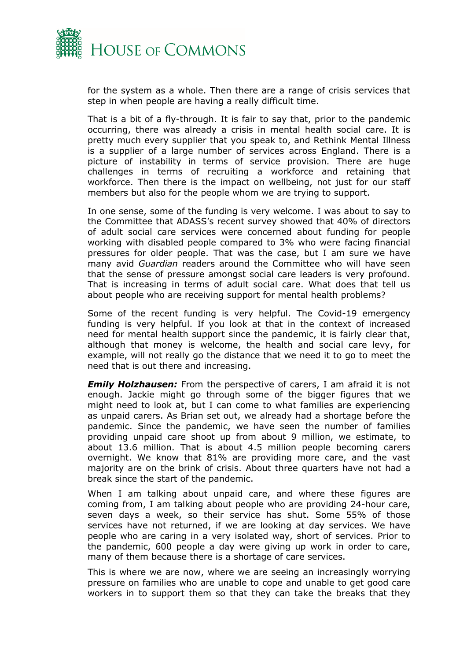

for the system as a whole. Then there are a range of crisis services that step in when people are having a really difficult time.

That is a bit of a fly-through. It is fair to say that, prior to the pandemic occurring, there was already a crisis in mental health social care. It is pretty much every supplier that you speak to, and Rethink Mental Illness is a supplier of a large number of services across England. There is a picture of instability in terms of service provision. There are huge challenges in terms of recruiting a workforce and retaining that workforce. Then there is the impact on wellbeing, not just for our staff members but also for the people whom we are trying to support.

In one sense, some of the funding is very welcome. I was about to say to the Committee that ADASS's recent survey showed that 40% of directors of adult social care services were concerned about funding for people working with disabled people compared to 3% who were facing financial pressures for older people. That was the case, but I am sure we have many avid *Guardian* readers around the Committee who will have seen that the sense of pressure amongst social care leaders is very profound. That is increasing in terms of adult social care. What does that tell us about people who are receiving support for mental health problems?

Some of the recent funding is very helpful. The Covid-19 emergency funding is very helpful. If you look at that in the context of increased need for mental health support since the pandemic, it is fairly clear that, although that money is welcome, the health and social care levy, for example, will not really go the distance that we need it to go to meet the need that is out there and increasing.

*Emily Holzhausen:* From the perspective of carers, I am afraid it is not enough. Jackie might go through some of the bigger figures that we might need to look at, but I can come to what families are experiencing as unpaid carers. As Brian set out, we already had a shortage before the pandemic. Since the pandemic, we have seen the number of families providing unpaid care shoot up from about 9 million, we estimate, to about 13.6 million. That is about 4.5 million people becoming carers overnight. We know that 81% are providing more care, and the vast majority are on the brink of crisis. About three quarters have not had a break since the start of the pandemic.

When I am talking about unpaid care, and where these figures are coming from, I am talking about people who are providing 24-hour care, seven days a week, so their service has shut. Some 55% of those services have not returned, if we are looking at day services. We have people who are caring in a very isolated way, short of services. Prior to the pandemic, 600 people a day were giving up work in order to care, many of them because there is a shortage of care services.

This is where we are now, where we are seeing an increasingly worrying pressure on families who are unable to cope and unable to get good care workers in to support them so that they can take the breaks that they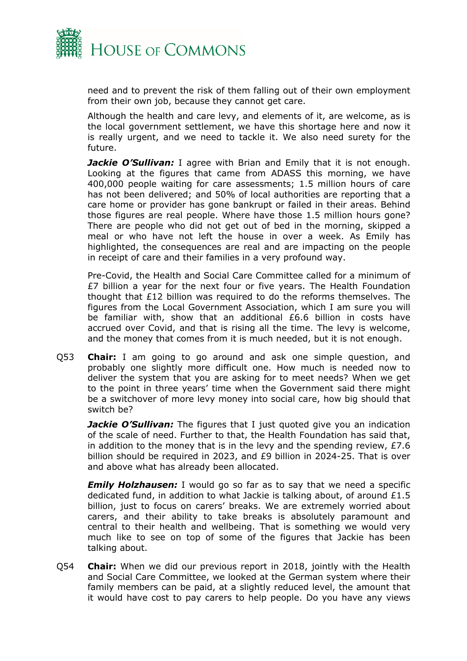

need and to prevent the risk of them falling out of their own employment from their own job, because they cannot get care.

Although the health and care levy, and elements of it, are welcome, as is the local government settlement, we have this shortage here and now it is really urgent, and we need to tackle it. We also need surety for the future.

*Jackie O'Sullivan:* I agree with Brian and Emily that it is not enough. Looking at the figures that came from ADASS this morning, we have 400,000 people waiting for care assessments; 1.5 million hours of care has not been delivered; and 50% of local authorities are reporting that a care home or provider has gone bankrupt or failed in their areas. Behind those figures are real people. Where have those 1.5 million hours gone? There are people who did not get out of bed in the morning, skipped a meal or who have not left the house in over a week. As Emily has highlighted, the consequences are real and are impacting on the people in receipt of care and their families in a very profound way.

Pre-Covid, the Health and Social Care Committee called for a minimum of £7 billion a year for the next four or five years. The Health Foundation thought that £12 billion was required to do the reforms themselves. The figures from the Local Government Association, which I am sure you will be familiar with, show that an additional £6.6 billion in costs have accrued over Covid, and that is rising all the time. The levy is welcome, and the money that comes from it is much needed, but it is not enough.

Q53 **Chair:** I am going to go around and ask one simple question, and probably one slightly more difficult one. How much is needed now to deliver the system that you are asking for to meet needs? When we get to the point in three years' time when the Government said there might be a switchover of more levy money into social care, how big should that switch be?

*Jackie O'Sullivan:* The figures that I just quoted give you an indication of the scale of need. Further to that, the Health Foundation has said that, in addition to the money that is in the levy and the spending review, £7.6 billion should be required in 2023, and £9 billion in 2024-25. That is over and above what has already been allocated.

*Emily Holzhausen:* I would go so far as to say that we need a specific dedicated fund, in addition to what Jackie is talking about, of around £1.5 billion, just to focus on carers' breaks. We are extremely worried about carers, and their ability to take breaks is absolutely paramount and central to their health and wellbeing. That is something we would very much like to see on top of some of the figures that Jackie has been talking about.

Q54 **Chair:** When we did our previous report in 2018, jointly with the Health and Social Care Committee, we looked at the German system where their family members can be paid, at a slightly reduced level, the amount that it would have cost to pay carers to help people. Do you have any views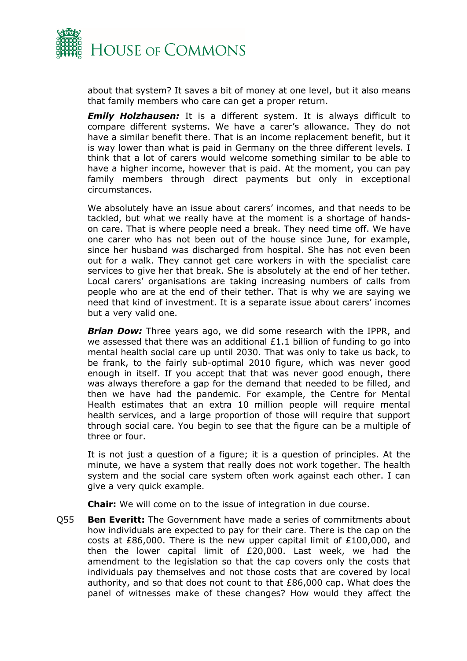

about that system? It saves a bit of money at one level, but it also means that family members who care can get a proper return.

*Emily Holzhausen:* It is a different system. It is always difficult to compare different systems. We have a carer's allowance. They do not have a similar benefit there. That is an income replacement benefit, but it is way lower than what is paid in Germany on the three different levels. I think that a lot of carers would welcome something similar to be able to have a higher income, however that is paid. At the moment, you can pay family members through direct payments but only in exceptional circumstances.

We absolutely have an issue about carers' incomes, and that needs to be tackled, but what we really have at the moment is a shortage of handson care. That is where people need a break. They need time off. We have one carer who has not been out of the house since June, for example, since her husband was discharged from hospital. She has not even been out for a walk. They cannot get care workers in with the specialist care services to give her that break. She is absolutely at the end of her tether. Local carers' organisations are taking increasing numbers of calls from people who are at the end of their tether. That is why we are saying we need that kind of investment. It is a separate issue about carers' incomes but a very valid one.

*Brian Dow:* Three years ago, we did some research with the IPPR, and we assessed that there was an additional  $£1.1$  billion of funding to go into mental health social care up until 2030. That was only to take us back, to be frank, to the fairly sub-optimal 2010 figure, which was never good enough in itself. If you accept that that was never good enough, there was always therefore a gap for the demand that needed to be filled, and then we have had the pandemic. For example, the Centre for Mental Health estimates that an extra 10 million people will require mental health services, and a large proportion of those will require that support through social care. You begin to see that the figure can be a multiple of three or four.

It is not just a question of a figure; it is a question of principles. At the minute, we have a system that really does not work together. The health system and the social care system often work against each other. I can give a very quick example.

**Chair:** We will come on to the issue of integration in due course.

Q55 **Ben Everitt:** The Government have made a series of commitments about how individuals are expected to pay for their care. There is the cap on the costs at £86,000. There is the new upper capital limit of £100,000, and then the lower capital limit of £20,000. Last week, we had the amendment to the legislation so that the cap covers only the costs that individuals pay themselves and not those costs that are covered by local authority, and so that does not count to that £86,000 cap. What does the panel of witnesses make of these changes? How would they affect the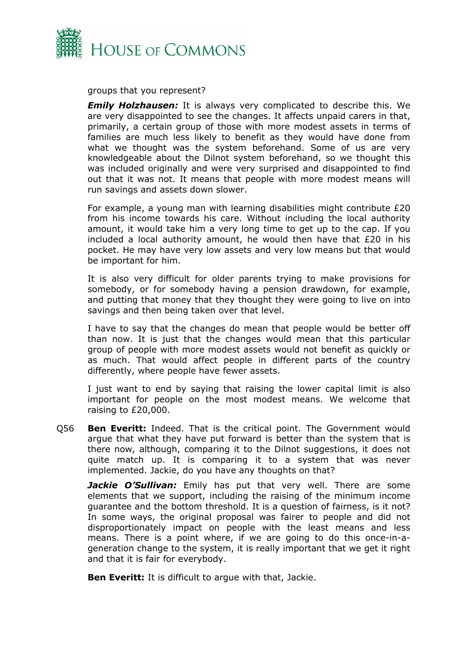

groups that you represent?

*Emily Holzhausen:* It is always very complicated to describe this. We are very disappointed to see the changes. It affects unpaid carers in that, primarily, a certain group of those with more modest assets in terms of families are much less likely to benefit as they would have done from what we thought was the system beforehand. Some of us are very knowledgeable about the Dilnot system beforehand, so we thought this was included originally and were very surprised and disappointed to find out that it was not. It means that people with more modest means will run savings and assets down slower.

For example, a young man with learning disabilities might contribute £20 from his income towards his care. Without including the local authority amount, it would take him a very long time to get up to the cap. If you included a local authority amount, he would then have that £20 in his pocket. He may have very low assets and very low means but that would be important for him.

It is also very difficult for older parents trying to make provisions for somebody, or for somebody having a pension drawdown, for example, and putting that money that they thought they were going to live on into savings and then being taken over that level.

I have to say that the changes do mean that people would be better off than now. It is just that the changes would mean that this particular group of people with more modest assets would not benefit as quickly or as much. That would affect people in different parts of the country differently, where people have fewer assets.

I just want to end by saying that raising the lower capital limit is also important for people on the most modest means. We welcome that raising to £20,000.

Q56 **Ben Everitt:** Indeed. That is the critical point. The Government would argue that what they have put forward is better than the system that is there now, although, comparing it to the Dilnot suggestions, it does not quite match up. It is comparing it to a system that was never implemented. Jackie, do you have any thoughts on that?

*Jackie O'Sullivan:* Emily has put that very well. There are some elements that we support, including the raising of the minimum income guarantee and the bottom threshold. It is a question of fairness, is it not? In some ways, the original proposal was fairer to people and did not disproportionately impact on people with the least means and less means. There is a point where, if we are going to do this once-in-ageneration change to the system, it is really important that we get it right and that it is fair for everybody.

**Ben Everitt:** It is difficult to argue with that, Jackie.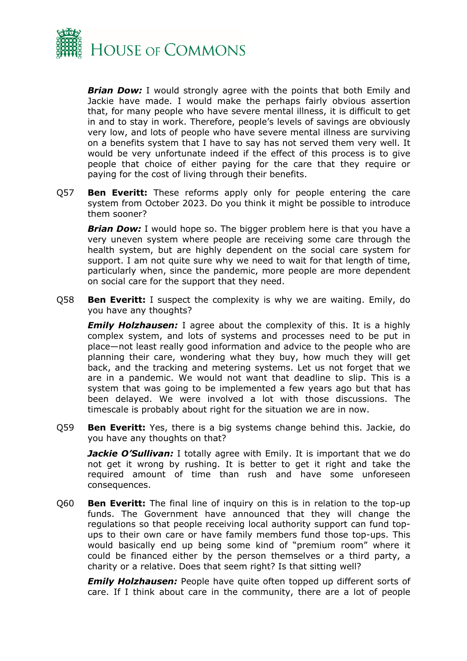

*Brian Dow:* I would strongly agree with the points that both Emily and Jackie have made. I would make the perhaps fairly obvious assertion that, for many people who have severe mental illness, it is difficult to get in and to stay in work. Therefore, people's levels of savings are obviously very low, and lots of people who have severe mental illness are surviving on a benefits system that I have to say has not served them very well. It would be very unfortunate indeed if the effect of this process is to give people that choice of either paying for the care that they require or paying for the cost of living through their benefits.

Q57 **Ben Everitt:** These reforms apply only for people entering the care system from October 2023. Do you think it might be possible to introduce them sooner?

*Brian Dow:* I would hope so. The bigger problem here is that you have a very uneven system where people are receiving some care through the health system, but are highly dependent on the social care system for support. I am not quite sure why we need to wait for that length of time, particularly when, since the pandemic, more people are more dependent on social care for the support that they need.

Q58 **Ben Everitt:** I suspect the complexity is why we are waiting. Emily, do you have any thoughts?

*Emily Holzhausen:* I agree about the complexity of this. It is a highly complex system, and lots of systems and processes need to be put in place—not least really good information and advice to the people who are planning their care, wondering what they buy, how much they will get back, and the tracking and metering systems. Let us not forget that we are in a pandemic. We would not want that deadline to slip. This is a system that was going to be implemented a few years ago but that has been delayed. We were involved a lot with those discussions. The timescale is probably about right for the situation we are in now.

Q59 **Ben Everitt:** Yes, there is a big systems change behind this. Jackie, do you have any thoughts on that?

*Jackie O'Sullivan:* I totally agree with Emily. It is important that we do not get it wrong by rushing. It is better to get it right and take the required amount of time than rush and have some unforeseen consequences.

Q60 **Ben Everitt:** The final line of inquiry on this is in relation to the top-up funds. The Government have announced that they will change the regulations so that people receiving local authority support can fund topups to their own care or have family members fund those top-ups. This would basically end up being some kind of "premium room" where it could be financed either by the person themselves or a third party, a charity or a relative. Does that seem right? Is that sitting well?

*Emily Holzhausen:* People have quite often topped up different sorts of care. If I think about care in the community, there are a lot of people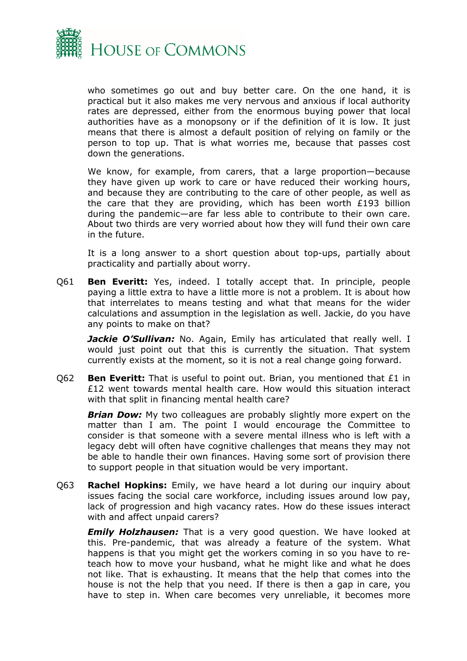

who sometimes go out and buy better care. On the one hand, it is practical but it also makes me very nervous and anxious if local authority rates are depressed, either from the enormous buying power that local authorities have as a monopsony or if the definition of it is low. It just means that there is almost a default position of relying on family or the person to top up. That is what worries me, because that passes cost down the generations.

We know, for example, from carers, that a large proportion—because they have given up work to care or have reduced their working hours, and because they are contributing to the care of other people, as well as the care that they are providing, which has been worth £193 billion during the pandemic—are far less able to contribute to their own care. About two thirds are very worried about how they will fund their own care in the future.

It is a long answer to a short question about top-ups, partially about practicality and partially about worry.

Q61 **Ben Everitt:** Yes, indeed. I totally accept that. In principle, people paying a little extra to have a little more is not a problem. It is about how that interrelates to means testing and what that means for the wider calculations and assumption in the legislation as well. Jackie, do you have any points to make on that?

**Jackie O'Sullivan:** No. Again, Emily has articulated that really well. I would just point out that this is currently the situation. That system currently exists at the moment, so it is not a real change going forward.

Q62 **Ben Everitt:** That is useful to point out. Brian, you mentioned that £1 in £12 went towards mental health care. How would this situation interact with that split in financing mental health care?

**Brian Dow:** My two colleagues are probably slightly more expert on the matter than I am. The point I would encourage the Committee to consider is that someone with a severe mental illness who is left with a legacy debt will often have cognitive challenges that means they may not be able to handle their own finances. Having some sort of provision there to support people in that situation would be very important.

Q63 **Rachel Hopkins:** Emily, we have heard a lot during our inquiry about issues facing the social care workforce, including issues around low pay, lack of progression and high vacancy rates. How do these issues interact with and affect unpaid carers?

*Emily Holzhausen:* That is a very good question. We have looked at this. Pre-pandemic, that was already a feature of the system. What happens is that you might get the workers coming in so you have to reteach how to move your husband, what he might like and what he does not like. That is exhausting. It means that the help that comes into the house is not the help that you need. If there is then a gap in care, you have to step in. When care becomes very unreliable, it becomes more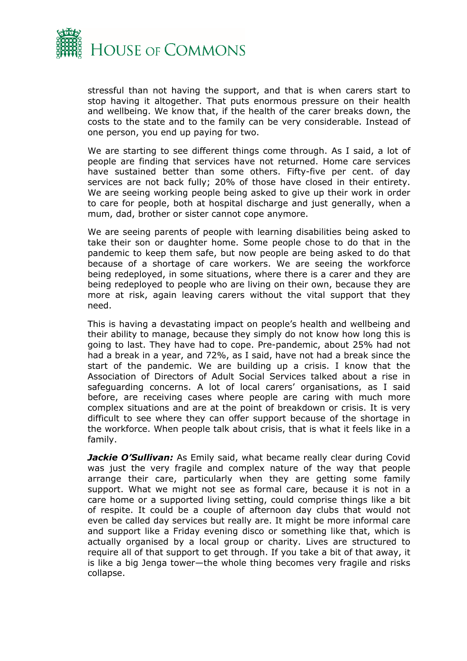

stressful than not having the support, and that is when carers start to stop having it altogether. That puts enormous pressure on their health and wellbeing. We know that, if the health of the carer breaks down, the costs to the state and to the family can be very considerable. Instead of one person, you end up paying for two.

We are starting to see different things come through. As I said, a lot of people are finding that services have not returned. Home care services have sustained better than some others. Fifty-five per cent. of day services are not back fully; 20% of those have closed in their entirety. We are seeing working people being asked to give up their work in order to care for people, both at hospital discharge and just generally, when a mum, dad, brother or sister cannot cope anymore.

We are seeing parents of people with learning disabilities being asked to take their son or daughter home. Some people chose to do that in the pandemic to keep them safe, but now people are being asked to do that because of a shortage of care workers. We are seeing the workforce being redeployed, in some situations, where there is a carer and they are being redeployed to people who are living on their own, because they are more at risk, again leaving carers without the vital support that they need.

This is having a devastating impact on people's health and wellbeing and their ability to manage, because they simply do not know how long this is going to last. They have had to cope. Pre-pandemic, about 25% had not had a break in a year, and 72%, as I said, have not had a break since the start of the pandemic. We are building up a crisis. I know that the Association of Directors of Adult Social Services talked about a rise in safeguarding concerns. A lot of local carers' organisations, as I said before, are receiving cases where people are caring with much more complex situations and are at the point of breakdown or crisis. It is very difficult to see where they can offer support because of the shortage in the workforce. When people talk about crisis, that is what it feels like in a family.

**Jackie O'Sullivan:** As Emily said, what became really clear during Covid was just the very fragile and complex nature of the way that people arrange their care, particularly when they are getting some family support. What we might not see as formal care, because it is not in a care home or a supported living setting, could comprise things like a bit of respite. It could be a couple of afternoon day clubs that would not even be called day services but really are. It might be more informal care and support like a Friday evening disco or something like that, which is actually organised by a local group or charity. Lives are structured to require all of that support to get through. If you take a bit of that away, it is like a big Jenga tower—the whole thing becomes very fragile and risks collapse.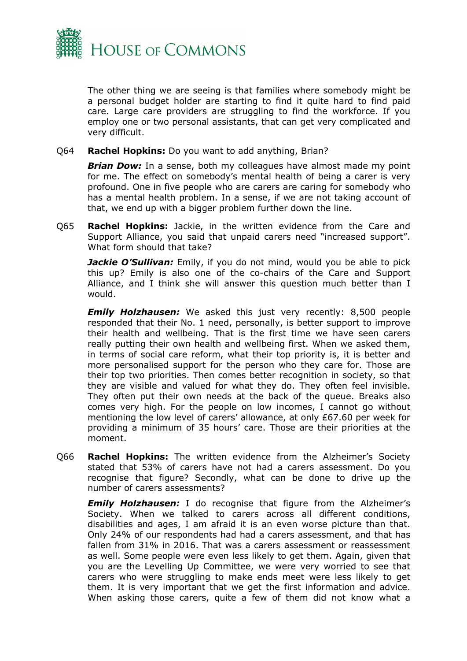

The other thing we are seeing is that families where somebody might be a personal budget holder are starting to find it quite hard to find paid care. Large care providers are struggling to find the workforce. If you employ one or two personal assistants, that can get very complicated and very difficult.

Q64 **Rachel Hopkins:** Do you want to add anything, Brian?

**Brian Dow:** In a sense, both my colleagues have almost made my point for me. The effect on somebody's mental health of being a carer is very profound. One in five people who are carers are caring for somebody who has a mental health problem. In a sense, if we are not taking account of that, we end up with a bigger problem further down the line.

Q65 **Rachel Hopkins:** Jackie, in the written evidence from the Care and Support Alliance, you said that unpaid carers need "increased support". What form should that take?

*Jackie O'Sullivan:* Emily, if you do not mind, would you be able to pick this up? Emily is also one of the co-chairs of the Care and Support Alliance, and I think she will answer this question much better than I would.

*Emily Holzhausen:* We asked this just very recently: 8,500 people responded that their No. 1 need, personally, is better support to improve their health and wellbeing. That is the first time we have seen carers really putting their own health and wellbeing first. When we asked them, in terms of social care reform, what their top priority is, it is better and more personalised support for the person who they care for. Those are their top two priorities. Then comes better recognition in society, so that they are visible and valued for what they do. They often feel invisible. They often put their own needs at the back of the queue. Breaks also comes very high. For the people on low incomes, I cannot go without mentioning the low level of carers' allowance, at only £67.60 per week for providing a minimum of 35 hours' care. Those are their priorities at the moment.

Q66 **Rachel Hopkins:** The written evidence from the Alzheimer's Society stated that 53% of carers have not had a carers assessment. Do you recognise that figure? Secondly, what can be done to drive up the number of carers assessments?

*Emily Holzhausen:* I do recognise that figure from the Alzheimer's Society. When we talked to carers across all different conditions, disabilities and ages, I am afraid it is an even worse picture than that. Only 24% of our respondents had had a carers assessment, and that has fallen from 31% in 2016. That was a carers assessment or reassessment as well. Some people were even less likely to get them. Again, given that you are the Levelling Up Committee, we were very worried to see that carers who were struggling to make ends meet were less likely to get them. It is very important that we get the first information and advice. When asking those carers, quite a few of them did not know what a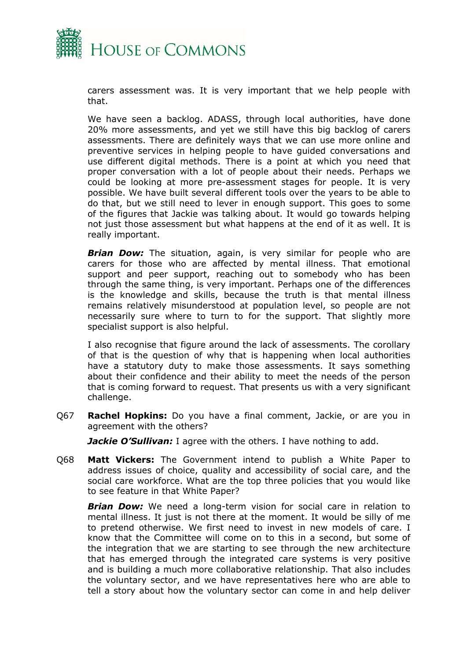

carers assessment was. It is very important that we help people with that.

We have seen a backlog. ADASS, through local authorities, have done 20% more assessments, and yet we still have this big backlog of carers assessments. There are definitely ways that we can use more online and preventive services in helping people to have guided conversations and use different digital methods. There is a point at which you need that proper conversation with a lot of people about their needs. Perhaps we could be looking at more pre-assessment stages for people. It is very possible. We have built several different tools over the years to be able to do that, but we still need to lever in enough support. This goes to some of the figures that Jackie was talking about. It would go towards helping not just those assessment but what happens at the end of it as well. It is really important.

*Brian Dow:* The situation, again, is very similar for people who are carers for those who are affected by mental illness. That emotional support and peer support, reaching out to somebody who has been through the same thing, is very important. Perhaps one of the differences is the knowledge and skills, because the truth is that mental illness remains relatively misunderstood at population level, so people are not necessarily sure where to turn to for the support. That slightly more specialist support is also helpful.

I also recognise that figure around the lack of assessments. The corollary of that is the question of why that is happening when local authorities have a statutory duty to make those assessments. It says something about their confidence and their ability to meet the needs of the person that is coming forward to request. That presents us with a very significant challenge.

Q67 **Rachel Hopkins:** Do you have a final comment, Jackie, or are you in agreement with the others?

*Jackie O'Sullivan:* I agree with the others. I have nothing to add.

Q68 **Matt Vickers:** The Government intend to publish a White Paper to address issues of choice, quality and accessibility of social care, and the social care workforce. What are the top three policies that you would like to see feature in that White Paper?

*Brian Dow:* We need a long-term vision for social care in relation to mental illness. It just is not there at the moment. It would be silly of me to pretend otherwise. We first need to invest in new models of care. I know that the Committee will come on to this in a second, but some of the integration that we are starting to see through the new architecture that has emerged through the integrated care systems is very positive and is building a much more collaborative relationship. That also includes the voluntary sector, and we have representatives here who are able to tell a story about how the voluntary sector can come in and help deliver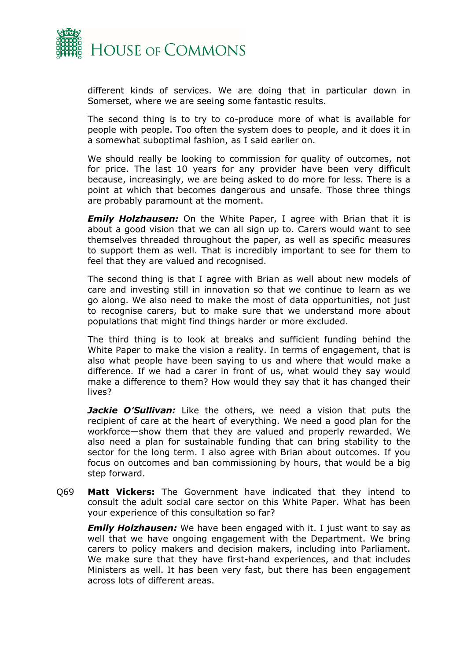

different kinds of services. We are doing that in particular down in Somerset, where we are seeing some fantastic results.

The second thing is to try to co-produce more of what is available for people with people. Too often the system does to people, and it does it in a somewhat suboptimal fashion, as I said earlier on.

We should really be looking to commission for quality of outcomes, not for price. The last 10 years for any provider have been very difficult because, increasingly, we are being asked to do more for less. There is a point at which that becomes dangerous and unsafe. Those three things are probably paramount at the moment.

**Emily Holzhausen:** On the White Paper, I agree with Brian that it is about a good vision that we can all sign up to. Carers would want to see themselves threaded throughout the paper, as well as specific measures to support them as well. That is incredibly important to see for them to feel that they are valued and recognised.

The second thing is that I agree with Brian as well about new models of care and investing still in innovation so that we continue to learn as we go along. We also need to make the most of data opportunities, not just to recognise carers, but to make sure that we understand more about populations that might find things harder or more excluded.

The third thing is to look at breaks and sufficient funding behind the White Paper to make the vision a reality. In terms of engagement, that is also what people have been saying to us and where that would make a difference. If we had a carer in front of us, what would they say would make a difference to them? How would they say that it has changed their lives?

**Jackie O'Sullivan:** Like the others, we need a vision that puts the recipient of care at the heart of everything. We need a good plan for the workforce—show them that they are valued and properly rewarded. We also need a plan for sustainable funding that can bring stability to the sector for the long term. I also agree with Brian about outcomes. If you focus on outcomes and ban commissioning by hours, that would be a big step forward.

Q69 **Matt Vickers:** The Government have indicated that they intend to consult the adult social care sector on this White Paper. What has been your experience of this consultation so far?

*Emily Holzhausen:* We have been engaged with it. I just want to say as well that we have ongoing engagement with the Department. We bring carers to policy makers and decision makers, including into Parliament. We make sure that they have first-hand experiences, and that includes Ministers as well. It has been very fast, but there has been engagement across lots of different areas.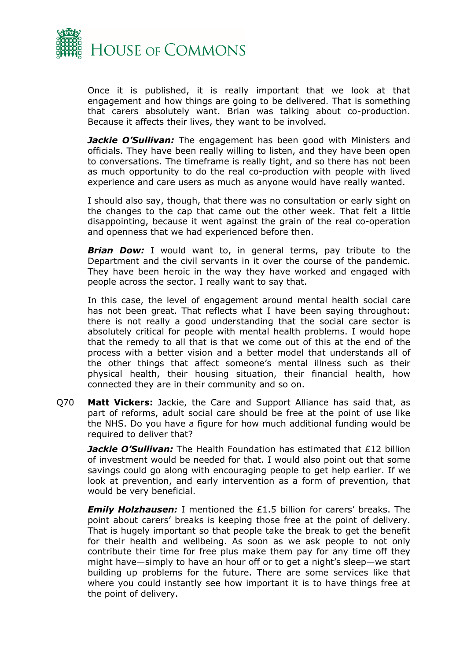

Once it is published, it is really important that we look at that engagement and how things are going to be delivered. That is something that carers absolutely want. Brian was talking about co-production. Because it affects their lives, they want to be involved.

*Jackie O'Sullivan:* The engagement has been good with Ministers and officials. They have been really willing to listen, and they have been open to conversations. The timeframe is really tight, and so there has not been as much opportunity to do the real co-production with people with lived experience and care users as much as anyone would have really wanted.

I should also say, though, that there was no consultation or early sight on the changes to the cap that came out the other week. That felt a little disappointing, because it went against the grain of the real co-operation and openness that we had experienced before then.

**Brian Dow:** I would want to, in general terms, pay tribute to the Department and the civil servants in it over the course of the pandemic. They have been heroic in the way they have worked and engaged with people across the sector. I really want to say that.

In this case, the level of engagement around mental health social care has not been great. That reflects what I have been saying throughout: there is not really a good understanding that the social care sector is absolutely critical for people with mental health problems. I would hope that the remedy to all that is that we come out of this at the end of the process with a better vision and a better model that understands all of the other things that affect someone's mental illness such as their physical health, their housing situation, their financial health, how connected they are in their community and so on.

Q70 **Matt Vickers:** Jackie, the Care and Support Alliance has said that, as part of reforms, adult social care should be free at the point of use like the NHS. Do you have a figure for how much additional funding would be required to deliver that?

*Jackie O'Sullivan:* The Health Foundation has estimated that £12 billion of investment would be needed for that. I would also point out that some savings could go along with encouraging people to get help earlier. If we look at prevention, and early intervention as a form of prevention, that would be very beneficial.

*Emily Holzhausen:* I mentioned the £1.5 billion for carers' breaks. The point about carers' breaks is keeping those free at the point of delivery. That is hugely important so that people take the break to get the benefit for their health and wellbeing. As soon as we ask people to not only contribute their time for free plus make them pay for any time off they might have—simply to have an hour off or to get a night's sleep—we start building up problems for the future. There are some services like that where you could instantly see how important it is to have things free at the point of delivery.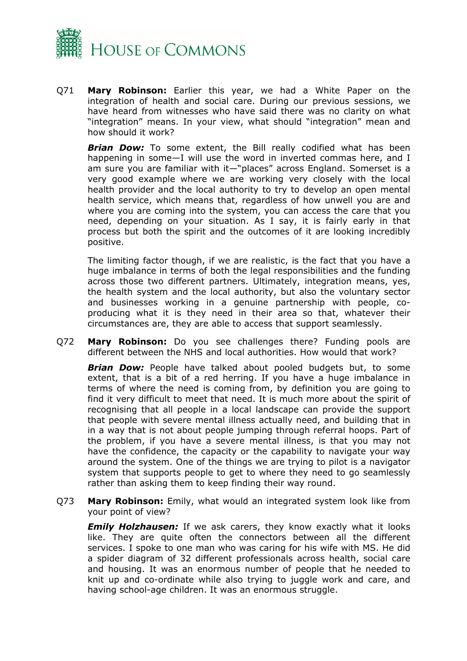

Q71 **Mary Robinson:** Earlier this year, we had a White Paper on the integration of health and social care. During our previous sessions, we have heard from witnesses who have said there was no clarity on what "integration" means. In your view, what should "integration" mean and how should it work?

**Brian Dow:** To some extent, the Bill really codified what has been happening in some—I will use the word in inverted commas here, and I am sure you are familiar with it—"places" across England. Somerset is a very good example where we are working very closely with the local health provider and the local authority to try to develop an open mental health service, which means that, regardless of how unwell you are and where you are coming into the system, you can access the care that you need, depending on your situation. As I say, it is fairly early in that process but both the spirit and the outcomes of it are looking incredibly positive.

The limiting factor though, if we are realistic, is the fact that you have a huge imbalance in terms of both the legal responsibilities and the funding across those two different partners. Ultimately, integration means, yes, the health system and the local authority, but also the voluntary sector and businesses working in a genuine partnership with people, coproducing what it is they need in their area so that, whatever their circumstances are, they are able to access that support seamlessly.

Q72 **Mary Robinson:** Do you see challenges there? Funding pools are different between the NHS and local authorities. How would that work?

*Brian Dow:* People have talked about pooled budgets but, to some extent, that is a bit of a red herring. If you have a huge imbalance in terms of where the need is coming from, by definition you are going to find it very difficult to meet that need. It is much more about the spirit of recognising that all people in a local landscape can provide the support that people with severe mental illness actually need, and building that in in a way that is not about people jumping through referral hoops. Part of the problem, if you have a severe mental illness, is that you may not have the confidence, the capacity or the capability to navigate your way around the system. One of the things we are trying to pilot is a navigator system that supports people to get to where they need to go seamlessly rather than asking them to keep finding their way round.

Q73 **Mary Robinson:** Emily, what would an integrated system look like from your point of view?

**Emily Holzhausen:** If we ask carers, they know exactly what it looks like. They are quite often the connectors between all the different services. I spoke to one man who was caring for his wife with MS. He did a spider diagram of 32 different professionals across health, social care and housing. It was an enormous number of people that he needed to knit up and co-ordinate while also trying to juggle work and care, and having school-age children. It was an enormous struggle.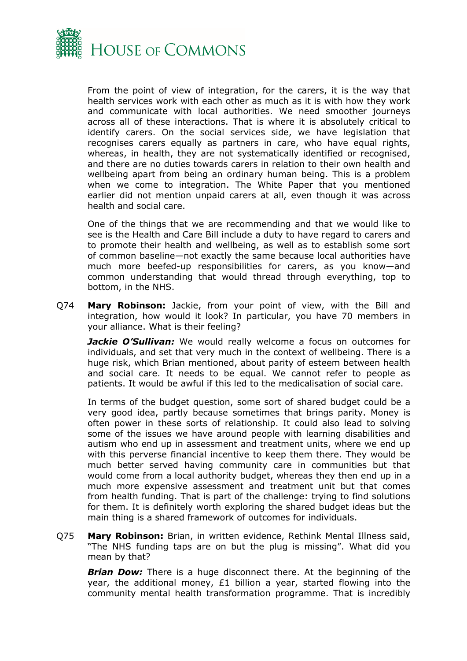

From the point of view of integration, for the carers, it is the way that health services work with each other as much as it is with how they work and communicate with local authorities. We need smoother journeys across all of these interactions. That is where it is absolutely critical to identify carers. On the social services side, we have legislation that recognises carers equally as partners in care, who have equal rights, whereas, in health, they are not systematically identified or recognised, and there are no duties towards carers in relation to their own health and wellbeing apart from being an ordinary human being. This is a problem when we come to integration. The White Paper that you mentioned earlier did not mention unpaid carers at all, even though it was across health and social care.

One of the things that we are recommending and that we would like to see is the Health and Care Bill include a duty to have regard to carers and to promote their health and wellbeing, as well as to establish some sort of common baseline—not exactly the same because local authorities have much more beefed-up responsibilities for carers, as you know—and common understanding that would thread through everything, top to bottom, in the NHS.

Q74 **Mary Robinson:** Jackie, from your point of view, with the Bill and integration, how would it look? In particular, you have 70 members in your alliance. What is their feeling?

**Jackie O'Sullivan:** We would really welcome a focus on outcomes for individuals, and set that very much in the context of wellbeing. There is a huge risk, which Brian mentioned, about parity of esteem between health and social care. It needs to be equal. We cannot refer to people as patients. It would be awful if this led to the medicalisation of social care.

In terms of the budget question, some sort of shared budget could be a very good idea, partly because sometimes that brings parity. Money is often power in these sorts of relationship. It could also lead to solving some of the issues we have around people with learning disabilities and autism who end up in assessment and treatment units, where we end up with this perverse financial incentive to keep them there. They would be much better served having community care in communities but that would come from a local authority budget, whereas they then end up in a much more expensive assessment and treatment unit but that comes from health funding. That is part of the challenge: trying to find solutions for them. It is definitely worth exploring the shared budget ideas but the main thing is a shared framework of outcomes for individuals.

Q75 **Mary Robinson:** Brian, in written evidence, Rethink Mental Illness said, "The NHS funding taps are on but the plug is missing". What did you mean by that?

*Brian Dow:* There is a huge disconnect there. At the beginning of the year, the additional money, £1 billion a year, started flowing into the community mental health transformation programme. That is incredibly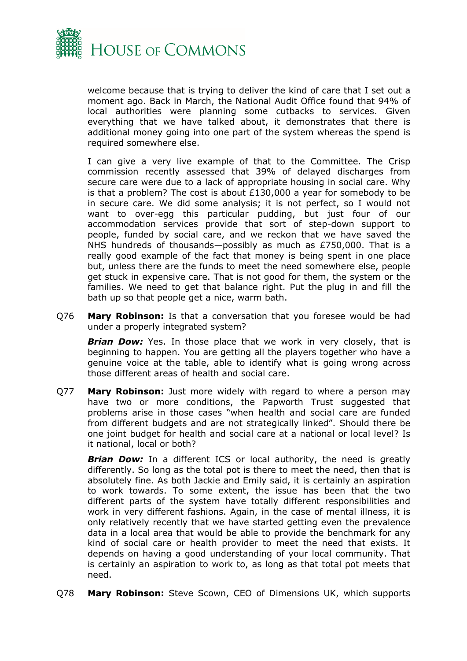

welcome because that is trying to deliver the kind of care that I set out a moment ago. Back in March, the National Audit Office found that 94% of local authorities were planning some cutbacks to services. Given everything that we have talked about, it demonstrates that there is additional money going into one part of the system whereas the spend is required somewhere else.

I can give a very live example of that to the Committee. The Crisp commission recently assessed that 39% of delayed discharges from secure care were due to a lack of appropriate housing in social care. Why is that a problem? The cost is about £130,000 a year for somebody to be in secure care. We did some analysis; it is not perfect, so I would not want to over-egg this particular pudding, but just four of our accommodation services provide that sort of step-down support to people, funded by social care, and we reckon that we have saved the NHS hundreds of thousands—possibly as much as £750,000. That is a really good example of the fact that money is being spent in one place but, unless there are the funds to meet the need somewhere else, people get stuck in expensive care. That is not good for them, the system or the families. We need to get that balance right. Put the plug in and fill the bath up so that people get a nice, warm bath.

Q76 **Mary Robinson:** Is that a conversation that you foresee would be had under a properly integrated system?

**Brian Dow:** Yes. In those place that we work in very closely, that is beginning to happen. You are getting all the players together who have a genuine voice at the table, able to identify what is going wrong across those different areas of health and social care.

Q77 **Mary Robinson:** Just more widely with regard to where a person may have two or more conditions, the Papworth Trust suggested that problems arise in those cases "when health and social care are funded from different budgets and are not strategically linked". Should there be one joint budget for health and social care at a national or local level? Is it national, local or both?

**Brian Dow:** In a different ICS or local authority, the need is greatly differently. So long as the total pot is there to meet the need, then that is absolutely fine. As both Jackie and Emily said, it is certainly an aspiration to work towards. To some extent, the issue has been that the two different parts of the system have totally different responsibilities and work in very different fashions. Again, in the case of mental illness, it is only relatively recently that we have started getting even the prevalence data in a local area that would be able to provide the benchmark for any kind of social care or health provider to meet the need that exists. It depends on having a good understanding of your local community. That is certainly an aspiration to work to, as long as that total pot meets that need.

Q78 **Mary Robinson:** Steve Scown, CEO of Dimensions UK, which supports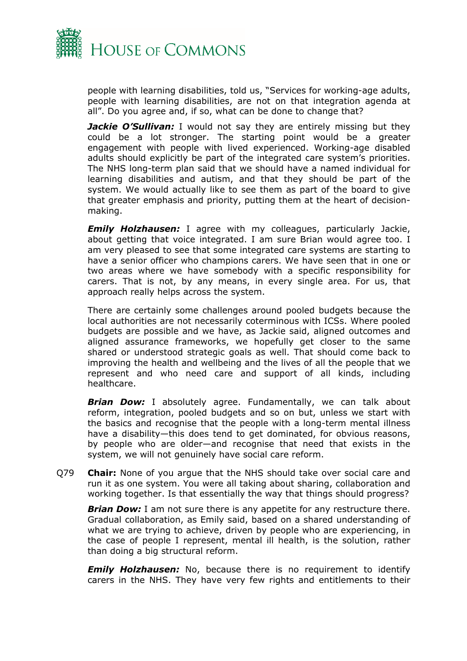

people with learning disabilities, told us, "Services for working-age adults, people with learning disabilities, are not on that integration agenda at all". Do you agree and, if so, what can be done to change that?

*Jackie O'Sullivan:* I would not say they are entirely missing but they could be a lot stronger. The starting point would be a greater engagement with people with lived experienced. Working-age disabled adults should explicitly be part of the integrated care system's priorities. The NHS long-term plan said that we should have a named individual for learning disabilities and autism, and that they should be part of the system. We would actually like to see them as part of the board to give that greater emphasis and priority, putting them at the heart of decisionmaking.

*Emily Holzhausen:* I agree with my colleagues, particularly Jackie, about getting that voice integrated. I am sure Brian would agree too. I am very pleased to see that some integrated care systems are starting to have a senior officer who champions carers. We have seen that in one or two areas where we have somebody with a specific responsibility for carers. That is not, by any means, in every single area. For us, that approach really helps across the system.

There are certainly some challenges around pooled budgets because the local authorities are not necessarily coterminous with ICSs. Where pooled budgets are possible and we have, as Jackie said, aligned outcomes and aligned assurance frameworks, we hopefully get closer to the same shared or understood strategic goals as well. That should come back to improving the health and wellbeing and the lives of all the people that we represent and who need care and support of all kinds, including healthcare.

*Brian Dow:* I absolutely agree. Fundamentally, we can talk about reform, integration, pooled budgets and so on but, unless we start with the basics and recognise that the people with a long-term mental illness have a disability—this does tend to get dominated, for obvious reasons, by people who are older—and recognise that need that exists in the system, we will not genuinely have social care reform.

Q79 **Chair:** None of you argue that the NHS should take over social care and run it as one system. You were all taking about sharing, collaboration and working together. Is that essentially the way that things should progress?

**Brian Dow:** I am not sure there is any appetite for any restructure there. Gradual collaboration, as Emily said, based on a shared understanding of what we are trying to achieve, driven by people who are experiencing, in the case of people I represent, mental ill health, is the solution, rather than doing a big structural reform.

*Emily Holzhausen:* No, because there is no requirement to identify carers in the NHS. They have very few rights and entitlements to their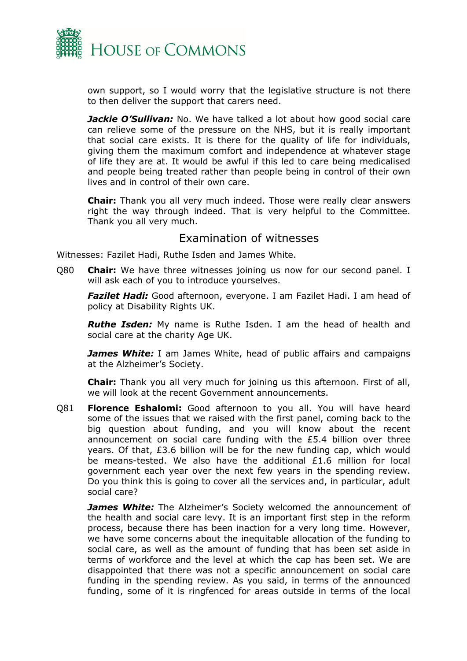

own support, so I would worry that the legislative structure is not there to then deliver the support that carers need.

*Jackie O'Sullivan:* No. We have talked a lot about how good social care can relieve some of the pressure on the NHS, but it is really important that social care exists. It is there for the quality of life for individuals, giving them the maximum comfort and independence at whatever stage of life they are at. It would be awful if this led to care being medicalised and people being treated rather than people being in control of their own lives and in control of their own care.

**Chair:** Thank you all very much indeed. Those were really clear answers right the way through indeed. That is very helpful to the Committee. Thank you all very much.

#### <span id="page-17-0"></span>Examination of witnesses

Witnesses: Fazilet Hadi, Ruthe Isden and James White.

Q80 **Chair:** We have three witnesses joining us now for our second panel. I will ask each of you to introduce yourselves.

*Fazilet Hadi:* Good afternoon, everyone. I am Fazilet Hadi. I am head of policy at Disability Rights UK.

*Ruthe Isden:* My name is Ruthe Isden. I am the head of health and social care at the charity Age UK.

*James White:* I am James White, head of public affairs and campaigns at the Alzheimer's Society.

**Chair:** Thank you all very much for joining us this afternoon. First of all, we will look at the recent Government announcements.

Q81 **Florence Eshalomi:** Good afternoon to you all. You will have heard some of the issues that we raised with the first panel, coming back to the big question about funding, and you will know about the recent announcement on social care funding with the £5.4 billion over three years. Of that, £3.6 billion will be for the new funding cap, which would be means-tested. We also have the additional £1.6 million for local government each year over the next few years in the spending review. Do you think this is going to cover all the services and, in particular, adult social care?

*James White:* The Alzheimer's Society welcomed the announcement of the health and social care levy. It is an important first step in the reform process, because there has been inaction for a very long time. However, we have some concerns about the inequitable allocation of the funding to social care, as well as the amount of funding that has been set aside in terms of workforce and the level at which the cap has been set. We are disappointed that there was not a specific announcement on social care funding in the spending review. As you said, in terms of the announced funding, some of it is ringfenced for areas outside in terms of the local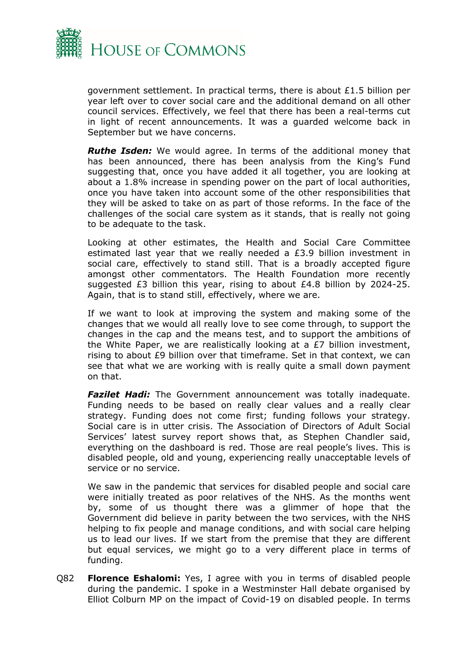

government settlement. In practical terms, there is about £1.5 billion per year left over to cover social care and the additional demand on all other council services. Effectively, we feel that there has been a real-terms cut in light of recent announcements. It was a guarded welcome back in September but we have concerns.

*Ruthe Isden:* We would agree. In terms of the additional money that has been announced, there has been analysis from the King's Fund suggesting that, once you have added it all together, you are looking at about a 1.8% increase in spending power on the part of local authorities, once you have taken into account some of the other responsibilities that they will be asked to take on as part of those reforms. In the face of the challenges of the social care system as it stands, that is really not going to be adequate to the task.

Looking at other estimates, the Health and Social Care Committee estimated last year that we really needed a £3.9 billion investment in social care, effectively to stand still. That is a broadly accepted figure amongst other commentators. The Health Foundation more recently suggested £3 billion this year, rising to about £4.8 billion by 2024-25. Again, that is to stand still, effectively, where we are.

If we want to look at improving the system and making some of the changes that we would all really love to see come through, to support the changes in the cap and the means test, and to support the ambitions of the White Paper, we are realistically looking at a £7 billion investment, rising to about £9 billion over that timeframe. Set in that context, we can see that what we are working with is really quite a small down payment on that.

**Fazilet Hadi:** The Government announcement was totally inadequate. Funding needs to be based on really clear values and a really clear strategy. Funding does not come first; funding follows your strategy. Social care is in utter crisis. The Association of Directors of Adult Social Services' latest survey report shows that, as Stephen Chandler said, everything on the dashboard is red. Those are real people's lives. This is disabled people, old and young, experiencing really unacceptable levels of service or no service.

We saw in the pandemic that services for disabled people and social care were initially treated as poor relatives of the NHS. As the months went by, some of us thought there was a glimmer of hope that the Government did believe in parity between the two services, with the NHS helping to fix people and manage conditions, and with social care helping us to lead our lives. If we start from the premise that they are different but equal services, we might go to a very different place in terms of funding.

Q82 **Florence Eshalomi:** Yes, I agree with you in terms of disabled people during the pandemic. I spoke in a Westminster Hall debate organised by Elliot Colburn MP on the impact of Covid-19 on disabled people. In terms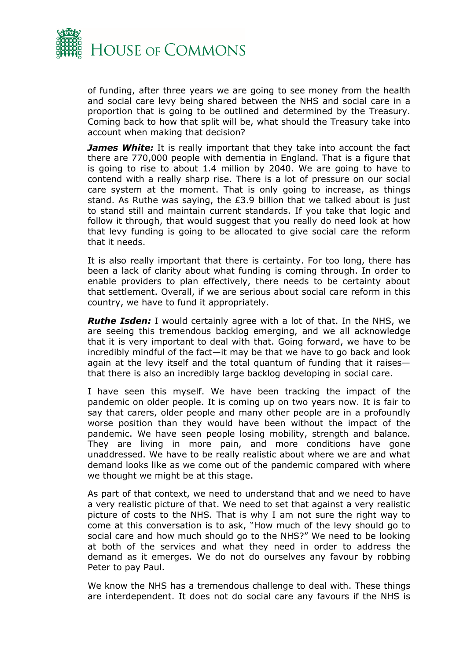

of funding, after three years we are going to see money from the health and social care levy being shared between the NHS and social care in a proportion that is going to be outlined and determined by the Treasury. Coming back to how that split will be, what should the Treasury take into account when making that decision?

*James White:* It is really important that they take into account the fact there are 770,000 people with dementia in England. That is a figure that is going to rise to about 1.4 million by 2040. We are going to have to contend with a really sharp rise. There is a lot of pressure on our social care system at the moment. That is only going to increase, as things stand. As Ruthe was saying, the  $E3.9$  billion that we talked about is just to stand still and maintain current standards. If you take that logic and follow it through, that would suggest that you really do need look at how that levy funding is going to be allocated to give social care the reform that it needs.

It is also really important that there is certainty. For too long, there has been a lack of clarity about what funding is coming through. In order to enable providers to plan effectively, there needs to be certainty about that settlement. Overall, if we are serious about social care reform in this country, we have to fund it appropriately.

*Ruthe Isden:* I would certainly agree with a lot of that. In the NHS, we are seeing this tremendous backlog emerging, and we all acknowledge that it is very important to deal with that. Going forward, we have to be incredibly mindful of the fact—it may be that we have to go back and look again at the levy itself and the total quantum of funding that it raises that there is also an incredibly large backlog developing in social care.

I have seen this myself. We have been tracking the impact of the pandemic on older people. It is coming up on two years now. It is fair to say that carers, older people and many other people are in a profoundly worse position than they would have been without the impact of the pandemic. We have seen people losing mobility, strength and balance. They are living in more pain, and more conditions have gone unaddressed. We have to be really realistic about where we are and what demand looks like as we come out of the pandemic compared with where we thought we might be at this stage.

As part of that context, we need to understand that and we need to have a very realistic picture of that. We need to set that against a very realistic picture of costs to the NHS. That is why I am not sure the right way to come at this conversation is to ask, "How much of the levy should go to social care and how much should go to the NHS?" We need to be looking at both of the services and what they need in order to address the demand as it emerges. We do not do ourselves any favour by robbing Peter to pay Paul.

We know the NHS has a tremendous challenge to deal with. These things are interdependent. It does not do social care any favours if the NHS is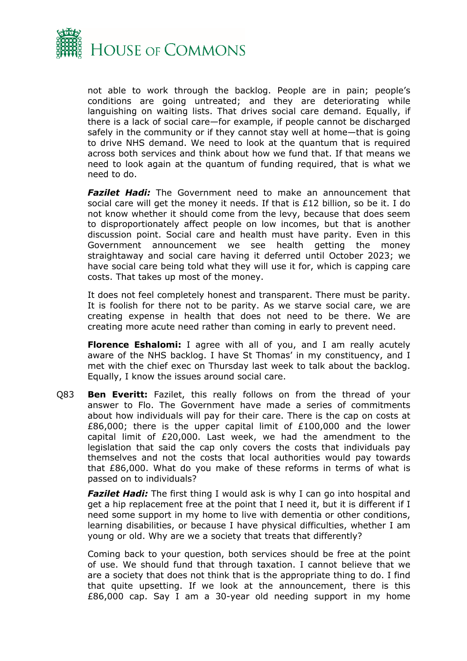

not able to work through the backlog. People are in pain; people's conditions are going untreated; and they are deteriorating while languishing on waiting lists. That drives social care demand. Equally, if there is a lack of social care—for example, if people cannot be discharged safely in the community or if they cannot stay well at home—that is going to drive NHS demand. We need to look at the quantum that is required across both services and think about how we fund that. If that means we need to look again at the quantum of funding required, that is what we need to do.

*Fazilet Hadi:* The Government need to make an announcement that social care will get the money it needs. If that is £12 billion, so be it. I do not know whether it should come from the levy, because that does seem to disproportionately affect people on low incomes, but that is another discussion point. Social care and health must have parity. Even in this Government announcement we see health getting the money straightaway and social care having it deferred until October 2023; we have social care being told what they will use it for, which is capping care costs. That takes up most of the money.

It does not feel completely honest and transparent. There must be parity. It is foolish for there not to be parity. As we starve social care, we are creating expense in health that does not need to be there. We are creating more acute need rather than coming in early to prevent need.

**Florence Eshalomi:** I agree with all of you, and I am really acutely aware of the NHS backlog. I have St Thomas' in my constituency, and I met with the chief exec on Thursday last week to talk about the backlog. Equally, I know the issues around social care.

Q83 **Ben Everitt:** Fazilet, this really follows on from the thread of your answer to Flo. The Government have made a series of commitments about how individuals will pay for their care. There is the cap on costs at £86,000; there is the upper capital limit of £100,000 and the lower capital limit of £20,000. Last week, we had the amendment to the legislation that said the cap only covers the costs that individuals pay themselves and not the costs that local authorities would pay towards that £86,000. What do you make of these reforms in terms of what is passed on to individuals?

*Fazilet Hadi:* The first thing I would ask is why I can go into hospital and get a hip replacement free at the point that I need it, but it is different if I need some support in my home to live with dementia or other conditions, learning disabilities, or because I have physical difficulties, whether I am young or old. Why are we a society that treats that differently?

Coming back to your question, both services should be free at the point of use. We should fund that through taxation. I cannot believe that we are a society that does not think that is the appropriate thing to do. I find that quite upsetting. If we look at the announcement, there is this £86,000 cap. Say I am a 30-year old needing support in my home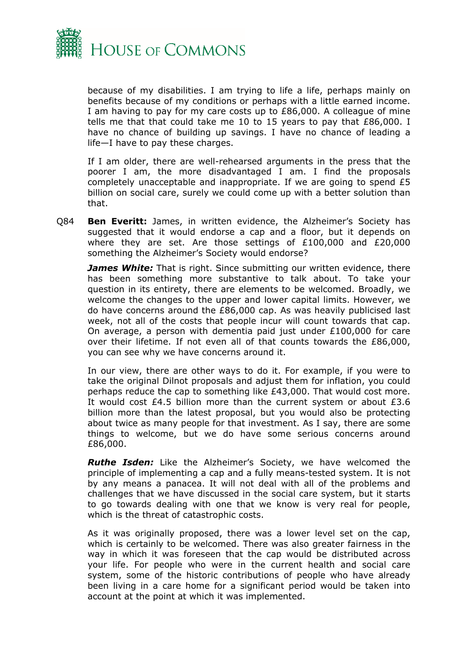

because of my disabilities. I am trying to life a life, perhaps mainly on benefits because of my conditions or perhaps with a little earned income. I am having to pay for my care costs up to £86,000. A colleague of mine tells me that that could take me 10 to 15 years to pay that £86,000. I have no chance of building up savings. I have no chance of leading a life—I have to pay these charges.

If I am older, there are well-rehearsed arguments in the press that the poorer I am, the more disadvantaged I am. I find the proposals completely unacceptable and inappropriate. If we are going to spend £5 billion on social care, surely we could come up with a better solution than that.

Q84 **Ben Everitt:** James, in written evidence, the Alzheimer's Society has suggested that it would endorse a cap and a floor, but it depends on where they are set. Are those settings of £100,000 and £20,000 something the Alzheimer's Society would endorse?

*James White:* That is right. Since submitting our written evidence, there has been something more substantive to talk about. To take your question in its entirety, there are elements to be welcomed. Broadly, we welcome the changes to the upper and lower capital limits. However, we do have concerns around the £86,000 cap. As was heavily publicised last week, not all of the costs that people incur will count towards that cap. On average, a person with dementia paid just under £100,000 for care over their lifetime. If not even all of that counts towards the £86,000, you can see why we have concerns around it.

In our view, there are other ways to do it. For example, if you were to take the original Dilnot proposals and adjust them for inflation, you could perhaps reduce the cap to something like £43,000. That would cost more. It would cost £4.5 billion more than the current system or about £3.6 billion more than the latest proposal, but you would also be protecting about twice as many people for that investment. As I say, there are some things to welcome, but we do have some serious concerns around £86,000.

*Ruthe Isden:* Like the Alzheimer's Society, we have welcomed the principle of implementing a cap and a fully means-tested system. It is not by any means a panacea. It will not deal with all of the problems and challenges that we have discussed in the social care system, but it starts to go towards dealing with one that we know is very real for people, which is the threat of catastrophic costs.

As it was originally proposed, there was a lower level set on the cap, which is certainly to be welcomed. There was also greater fairness in the way in which it was foreseen that the cap would be distributed across your life. For people who were in the current health and social care system, some of the historic contributions of people who have already been living in a care home for a significant period would be taken into account at the point at which it was implemented.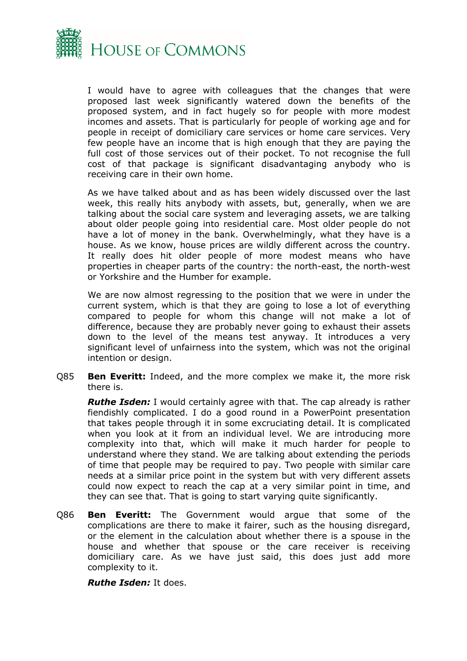

I would have to agree with colleagues that the changes that were proposed last week significantly watered down the benefits of the proposed system, and in fact hugely so for people with more modest incomes and assets. That is particularly for people of working age and for people in receipt of domiciliary care services or home care services. Very few people have an income that is high enough that they are paying the full cost of those services out of their pocket. To not recognise the full cost of that package is significant disadvantaging anybody who is receiving care in their own home.

As we have talked about and as has been widely discussed over the last week, this really hits anybody with assets, but, generally, when we are talking about the social care system and leveraging assets, we are talking about older people going into residential care. Most older people do not have a lot of money in the bank. Overwhelmingly, what they have is a house. As we know, house prices are wildly different across the country. It really does hit older people of more modest means who have properties in cheaper parts of the country: the north-east, the north-west or Yorkshire and the Humber for example.

We are now almost regressing to the position that we were in under the current system, which is that they are going to lose a lot of everything compared to people for whom this change will not make a lot of difference, because they are probably never going to exhaust their assets down to the level of the means test anyway. It introduces a very significant level of unfairness into the system, which was not the original intention or design.

Q85 **Ben Everitt:** Indeed, and the more complex we make it, the more risk there is.

*Ruthe Isden:* I would certainly agree with that. The cap already is rather fiendishly complicated. I do a good round in a PowerPoint presentation that takes people through it in some excruciating detail. It is complicated when you look at it from an individual level. We are introducing more complexity into that, which will make it much harder for people to understand where they stand. We are talking about extending the periods of time that people may be required to pay. Two people with similar care needs at a similar price point in the system but with very different assets could now expect to reach the cap at a very similar point in time, and they can see that. That is going to start varying quite significantly.

Q86 **Ben Everitt:** The Government would argue that some of the complications are there to make it fairer, such as the housing disregard, or the element in the calculation about whether there is a spouse in the house and whether that spouse or the care receiver is receiving domiciliary care. As we have just said, this does just add more complexity to it.

*Ruthe Isden:* It does.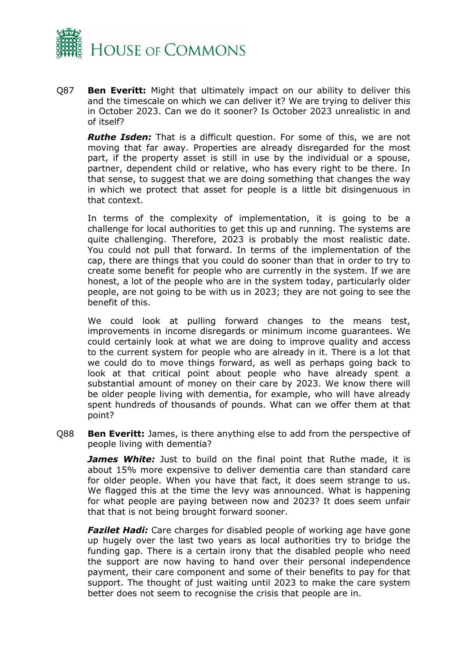![](_page_23_Picture_0.jpeg)

Q87 **Ben Everitt:** Might that ultimately impact on our ability to deliver this and the timescale on which we can deliver it? We are trying to deliver this in October 2023. Can we do it sooner? Is October 2023 unrealistic in and of itself?

*Ruthe Isden:* That is a difficult question. For some of this, we are not moving that far away. Properties are already disregarded for the most part, if the property asset is still in use by the individual or a spouse, partner, dependent child or relative, who has every right to be there. In that sense, to suggest that we are doing something that changes the way in which we protect that asset for people is a little bit disingenuous in that context.

In terms of the complexity of implementation, it is going to be a challenge for local authorities to get this up and running. The systems are quite challenging. Therefore, 2023 is probably the most realistic date. You could not pull that forward. In terms of the implementation of the cap, there are things that you could do sooner than that in order to try to create some benefit for people who are currently in the system. If we are honest, a lot of the people who are in the system today, particularly older people, are not going to be with us in 2023; they are not going to see the benefit of this.

We could look at pulling forward changes to the means test, improvements in income disregards or minimum income guarantees. We could certainly look at what we are doing to improve quality and access to the current system for people who are already in it. There is a lot that we could do to move things forward, as well as perhaps going back to look at that critical point about people who have already spent a substantial amount of money on their care by 2023. We know there will be older people living with dementia, for example, who will have already spent hundreds of thousands of pounds. What can we offer them at that point?

Q88 **Ben Everitt:** James, is there anything else to add from the perspective of people living with dementia?

*James White:* Just to build on the final point that Ruthe made, it is about 15% more expensive to deliver dementia care than standard care for older people. When you have that fact, it does seem strange to us. We flagged this at the time the levy was announced. What is happening for what people are paying between now and 2023? It does seem unfair that that is not being brought forward sooner.

*Fazilet Hadi:* Care charges for disabled people of working age have gone up hugely over the last two years as local authorities try to bridge the funding gap. There is a certain irony that the disabled people who need the support are now having to hand over their personal independence payment, their care component and some of their benefits to pay for that support. The thought of just waiting until 2023 to make the care system better does not seem to recognise the crisis that people are in.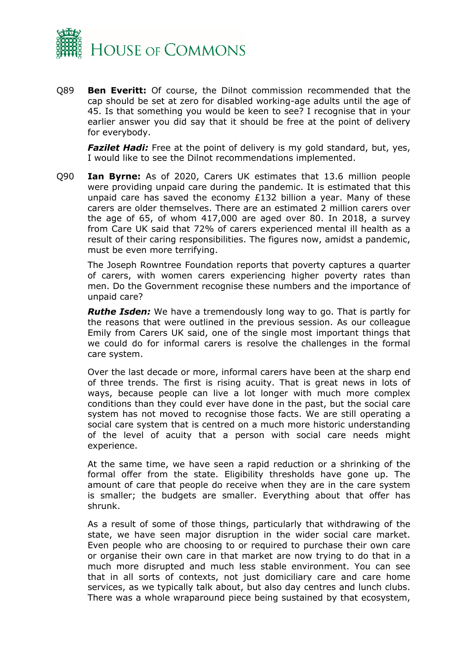![](_page_24_Picture_0.jpeg)

Q89 **Ben Everitt:** Of course, the Dilnot commission recommended that the cap should be set at zero for disabled working-age adults until the age of 45. Is that something you would be keen to see? I recognise that in your earlier answer you did say that it should be free at the point of delivery for everybody.

*Fazilet Hadi:* Free at the point of delivery is my gold standard, but, yes, I would like to see the Dilnot recommendations implemented.

Q90 **Ian Byrne:** As of 2020, Carers UK estimates that 13.6 million people were providing unpaid care during the pandemic. It is estimated that this unpaid care has saved the economy £132 billion a year. Many of these carers are older themselves. There are an estimated 2 million carers over the age of 65, of whom 417,000 are aged over 80. In 2018, a survey from Care UK said that 72% of carers experienced mental ill health as a result of their caring responsibilities. The figures now, amidst a pandemic, must be even more terrifying.

The Joseph Rowntree Foundation reports that poverty captures a quarter of carers, with women carers experiencing higher poverty rates than men. Do the Government recognise these numbers and the importance of unpaid care?

*Ruthe Isden:* We have a tremendously long way to go. That is partly for the reasons that were outlined in the previous session. As our colleague Emily from Carers UK said, one of the single most important things that we could do for informal carers is resolve the challenges in the formal care system.

Over the last decade or more, informal carers have been at the sharp end of three trends. The first is rising acuity. That is great news in lots of ways, because people can live a lot longer with much more complex conditions than they could ever have done in the past, but the social care system has not moved to recognise those facts. We are still operating a social care system that is centred on a much more historic understanding of the level of acuity that a person with social care needs might experience.

At the same time, we have seen a rapid reduction or a shrinking of the formal offer from the state. Eligibility thresholds have gone up. The amount of care that people do receive when they are in the care system is smaller; the budgets are smaller. Everything about that offer has shrunk.

As a result of some of those things, particularly that withdrawing of the state, we have seen major disruption in the wider social care market. Even people who are choosing to or required to purchase their own care or organise their own care in that market are now trying to do that in a much more disrupted and much less stable environment. You can see that in all sorts of contexts, not just domiciliary care and care home services, as we typically talk about, but also day centres and lunch clubs. There was a whole wraparound piece being sustained by that ecosystem,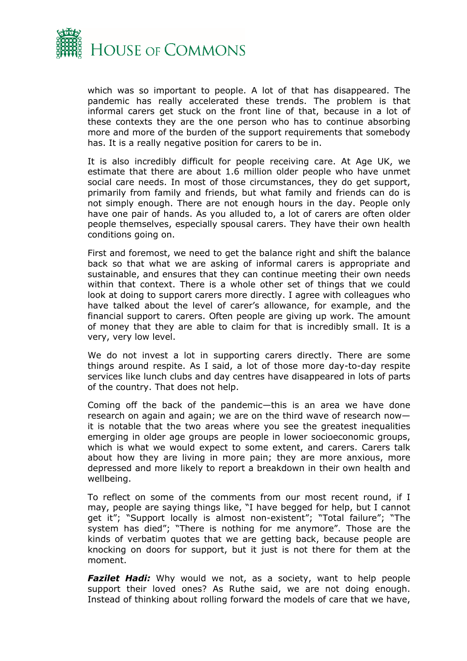![](_page_25_Picture_0.jpeg)

which was so important to people. A lot of that has disappeared. The pandemic has really accelerated these trends. The problem is that informal carers get stuck on the front line of that, because in a lot of these contexts they are the one person who has to continue absorbing more and more of the burden of the support requirements that somebody has. It is a really negative position for carers to be in.

It is also incredibly difficult for people receiving care. At Age UK, we estimate that there are about 1.6 million older people who have unmet social care needs. In most of those circumstances, they do get support, primarily from family and friends, but what family and friends can do is not simply enough. There are not enough hours in the day. People only have one pair of hands. As you alluded to, a lot of carers are often older people themselves, especially spousal carers. They have their own health conditions going on.

First and foremost, we need to get the balance right and shift the balance back so that what we are asking of informal carers is appropriate and sustainable, and ensures that they can continue meeting their own needs within that context. There is a whole other set of things that we could look at doing to support carers more directly. I agree with colleagues who have talked about the level of carer's allowance, for example, and the financial support to carers. Often people are giving up work. The amount of money that they are able to claim for that is incredibly small. It is a very, very low level.

We do not invest a lot in supporting carers directly. There are some things around respite. As I said, a lot of those more day-to-day respite services like lunch clubs and day centres have disappeared in lots of parts of the country. That does not help.

Coming off the back of the pandemic—this is an area we have done research on again and again; we are on the third wave of research now it is notable that the two areas where you see the greatest inequalities emerging in older age groups are people in lower socioeconomic groups, which is what we would expect to some extent, and carers. Carers talk about how they are living in more pain; they are more anxious, more depressed and more likely to report a breakdown in their own health and wellbeing.

To reflect on some of the comments from our most recent round, if I may, people are saying things like, "I have begged for help, but I cannot get it"; "Support locally is almost non-existent"; "Total failure"; "The system has died"; "There is nothing for me anymore". Those are the kinds of verbatim quotes that we are getting back, because people are knocking on doors for support, but it just is not there for them at the moment.

**Fazilet Hadi:** Why would we not, as a society, want to help people support their loved ones? As Ruthe said, we are not doing enough. Instead of thinking about rolling forward the models of care that we have,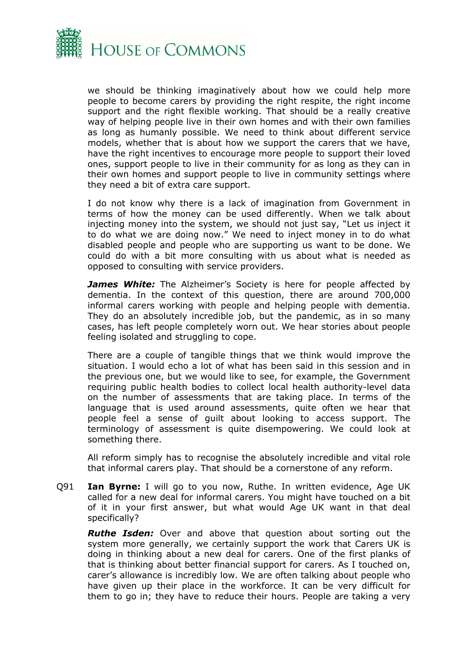![](_page_26_Picture_0.jpeg)

we should be thinking imaginatively about how we could help more people to become carers by providing the right respite, the right income support and the right flexible working. That should be a really creative way of helping people live in their own homes and with their own families as long as humanly possible. We need to think about different service models, whether that is about how we support the carers that we have, have the right incentives to encourage more people to support their loved ones, support people to live in their community for as long as they can in their own homes and support people to live in community settings where they need a bit of extra care support.

I do not know why there is a lack of imagination from Government in terms of how the money can be used differently. When we talk about injecting money into the system, we should not just say, "Let us inject it to do what we are doing now." We need to inject money in to do what disabled people and people who are supporting us want to be done. We could do with a bit more consulting with us about what is needed as opposed to consulting with service providers.

*James White:* The Alzheimer's Society is here for people affected by dementia. In the context of this question, there are around 700,000 informal carers working with people and helping people with dementia. They do an absolutely incredible job, but the pandemic, as in so many cases, has left people completely worn out. We hear stories about people feeling isolated and struggling to cope.

There are a couple of tangible things that we think would improve the situation. I would echo a lot of what has been said in this session and in the previous one, but we would like to see, for example, the Government requiring public health bodies to collect local health authority-level data on the number of assessments that are taking place. In terms of the language that is used around assessments, quite often we hear that people feel a sense of guilt about looking to access support. The terminology of assessment is quite disempowering. We could look at something there.

All reform simply has to recognise the absolutely incredible and vital role that informal carers play. That should be a cornerstone of any reform.

Q91 **Ian Byrne:** I will go to you now, Ruthe. In written evidence, Age UK called for a new deal for informal carers. You might have touched on a bit of it in your first answer, but what would Age UK want in that deal specifically?

*Ruthe Isden:* Over and above that question about sorting out the system more generally, we certainly support the work that Carers UK is doing in thinking about a new deal for carers. One of the first planks of that is thinking about better financial support for carers. As I touched on, carer's allowance is incredibly low. We are often talking about people who have given up their place in the workforce. It can be very difficult for them to go in; they have to reduce their hours. People are taking a very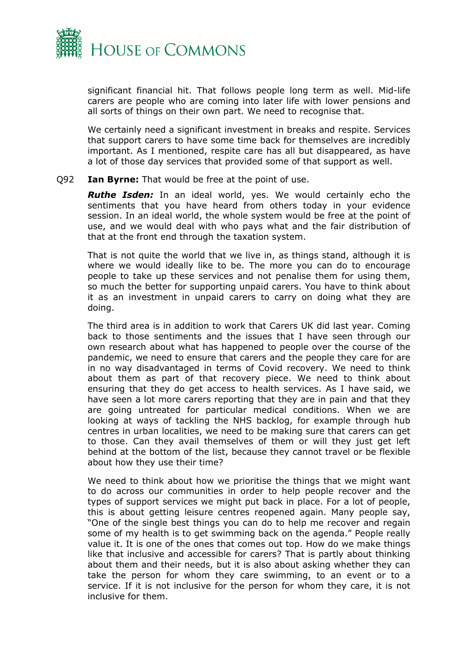![](_page_27_Picture_0.jpeg)

significant financial hit. That follows people long term as well. Mid-life carers are people who are coming into later life with lower pensions and all sorts of things on their own part. We need to recognise that.

We certainly need a significant investment in breaks and respite. Services that support carers to have some time back for themselves are incredibly important. As I mentioned, respite care has all but disappeared, as have a lot of those day services that provided some of that support as well.

#### Q92 **Ian Byrne:** That would be free at the point of use.

*Ruthe Isden:* In an ideal world, yes. We would certainly echo the sentiments that you have heard from others today in your evidence session. In an ideal world, the whole system would be free at the point of use, and we would deal with who pays what and the fair distribution of that at the front end through the taxation system.

That is not quite the world that we live in, as things stand, although it is where we would ideally like to be. The more you can do to encourage people to take up these services and not penalise them for using them, so much the better for supporting unpaid carers. You have to think about it as an investment in unpaid carers to carry on doing what they are doing.

The third area is in addition to work that Carers UK did last year. Coming back to those sentiments and the issues that I have seen through our own research about what has happened to people over the course of the pandemic, we need to ensure that carers and the people they care for are in no way disadvantaged in terms of Covid recovery. We need to think about them as part of that recovery piece. We need to think about ensuring that they do get access to health services. As I have said, we have seen a lot more carers reporting that they are in pain and that they are going untreated for particular medical conditions. When we are looking at ways of tackling the NHS backlog, for example through hub centres in urban localities, we need to be making sure that carers can get to those. Can they avail themselves of them or will they just get left behind at the bottom of the list, because they cannot travel or be flexible about how they use their time?

We need to think about how we prioritise the things that we might want to do across our communities in order to help people recover and the types of support services we might put back in place. For a lot of people, this is about getting leisure centres reopened again. Many people say, "One of the single best things you can do to help me recover and regain some of my health is to get swimming back on the agenda." People really value it. It is one of the ones that comes out top. How do we make things like that inclusive and accessible for carers? That is partly about thinking about them and their needs, but it is also about asking whether they can take the person for whom they care swimming, to an event or to a service. If it is not inclusive for the person for whom they care, it is not inclusive for them.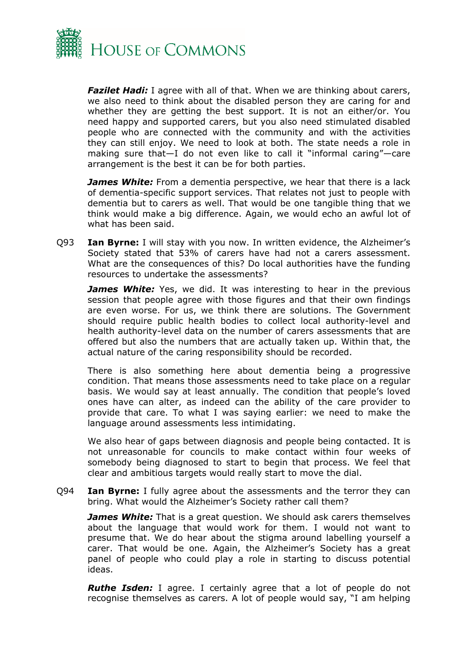![](_page_28_Picture_0.jpeg)

*Fazilet Hadi:* I agree with all of that. When we are thinking about carers, we also need to think about the disabled person they are caring for and whether they are getting the best support. It is not an either/or. You need happy and supported carers, but you also need stimulated disabled people who are connected with the community and with the activities they can still enjoy. We need to look at both. The state needs a role in making sure that—I do not even like to call it "informal caring"—care arrangement is the best it can be for both parties.

*James White:* From a dementia perspective, we hear that there is a lack of dementia-specific support services. That relates not just to people with dementia but to carers as well. That would be one tangible thing that we think would make a big difference. Again, we would echo an awful lot of what has been said.

Q93 **Ian Byrne:** I will stay with you now. In written evidence, the Alzheimer's Society stated that 53% of carers have had not a carers assessment. What are the consequences of this? Do local authorities have the funding resources to undertake the assessments?

*James White:* Yes, we did. It was interesting to hear in the previous session that people agree with those figures and that their own findings are even worse. For us, we think there are solutions. The Government should require public health bodies to collect local authority-level and health authority-level data on the number of carers assessments that are offered but also the numbers that are actually taken up. Within that, the actual nature of the caring responsibility should be recorded.

There is also something here about dementia being a progressive condition. That means those assessments need to take place on a regular basis. We would say at least annually. The condition that people's loved ones have can alter, as indeed can the ability of the care provider to provide that care. To what I was saying earlier: we need to make the language around assessments less intimidating.

We also hear of gaps between diagnosis and people being contacted. It is not unreasonable for councils to make contact within four weeks of somebody being diagnosed to start to begin that process. We feel that clear and ambitious targets would really start to move the dial.

Q94 **Ian Byrne:** I fully agree about the assessments and the terror they can bring. What would the Alzheimer's Society rather call them?

*James White:* That is a great question. We should ask carers themselves about the language that would work for them. I would not want to presume that. We do hear about the stigma around labelling yourself a carer. That would be one. Again, the Alzheimer's Society has a great panel of people who could play a role in starting to discuss potential ideas.

*Ruthe Isden:* I agree. I certainly agree that a lot of people do not recognise themselves as carers. A lot of people would say, "I am helping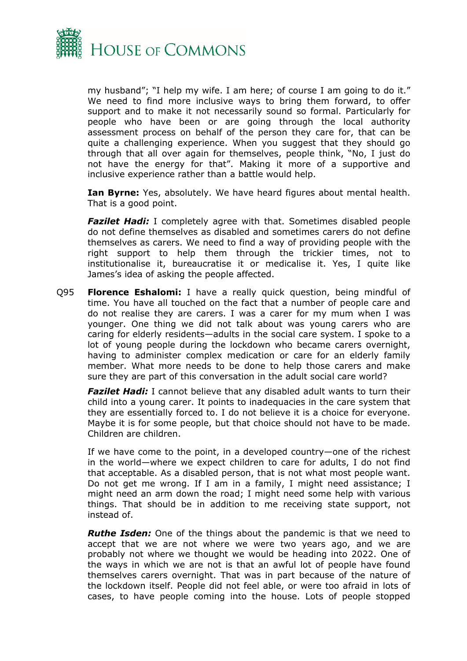![](_page_29_Picture_0.jpeg)

my husband"; "I help my wife. I am here; of course I am going to do it." We need to find more inclusive ways to bring them forward, to offer support and to make it not necessarily sound so formal. Particularly for people who have been or are going through the local authority assessment process on behalf of the person they care for, that can be quite a challenging experience. When you suggest that they should go through that all over again for themselves, people think, "No, I just do not have the energy for that". Making it more of a supportive and inclusive experience rather than a battle would help.

**Ian Byrne:** Yes, absolutely. We have heard figures about mental health. That is a good point.

*Fazilet Hadi:* I completely agree with that. Sometimes disabled people do not define themselves as disabled and sometimes carers do not define themselves as carers. We need to find a way of providing people with the right support to help them through the trickier times, not to institutionalise it, bureaucratise it or medicalise it. Yes, I quite like James's idea of asking the people affected.

Q95 **Florence Eshalomi:** I have a really quick question, being mindful of time. You have all touched on the fact that a number of people care and do not realise they are carers. I was a carer for my mum when I was younger. One thing we did not talk about was young carers who are caring for elderly residents—adults in the social care system. I spoke to a lot of young people during the lockdown who became carers overnight, having to administer complex medication or care for an elderly family member. What more needs to be done to help those carers and make sure they are part of this conversation in the adult social care world?

*Fazilet Hadi:* I cannot believe that any disabled adult wants to turn their child into a young carer. It points to inadequacies in the care system that they are essentially forced to. I do not believe it is a choice for everyone. Maybe it is for some people, but that choice should not have to be made. Children are children.

If we have come to the point, in a developed country—one of the richest in the world—where we expect children to care for adults, I do not find that acceptable. As a disabled person, that is not what most people want. Do not get me wrong. If I am in a family, I might need assistance; I might need an arm down the road; I might need some help with various things. That should be in addition to me receiving state support, not instead of.

*Ruthe Isden:* One of the things about the pandemic is that we need to accept that we are not where we were two years ago, and we are probably not where we thought we would be heading into 2022. One of the ways in which we are not is that an awful lot of people have found themselves carers overnight. That was in part because of the nature of the lockdown itself. People did not feel able, or were too afraid in lots of cases, to have people coming into the house. Lots of people stopped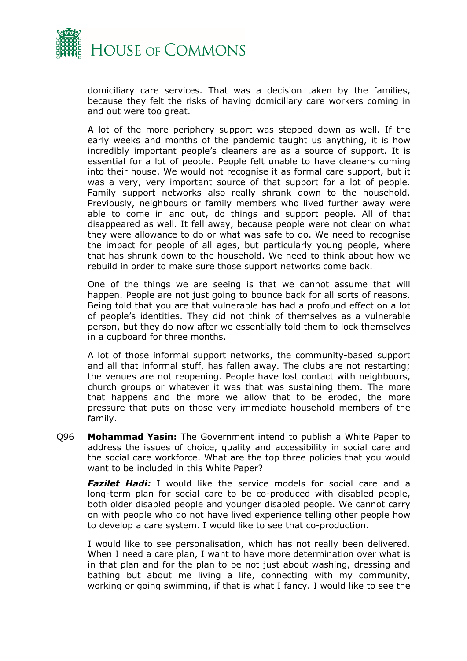![](_page_30_Picture_0.jpeg)

domiciliary care services. That was a decision taken by the families, because they felt the risks of having domiciliary care workers coming in and out were too great.

A lot of the more periphery support was stepped down as well. If the early weeks and months of the pandemic taught us anything, it is how incredibly important people's cleaners are as a source of support. It is essential for a lot of people. People felt unable to have cleaners coming into their house. We would not recognise it as formal care support, but it was a very, very important source of that support for a lot of people. Family support networks also really shrank down to the household. Previously, neighbours or family members who lived further away were able to come in and out, do things and support people. All of that disappeared as well. It fell away, because people were not clear on what they were allowance to do or what was safe to do. We need to recognise the impact for people of all ages, but particularly young people, where that has shrunk down to the household. We need to think about how we rebuild in order to make sure those support networks come back.

One of the things we are seeing is that we cannot assume that will happen. People are not just going to bounce back for all sorts of reasons. Being told that you are that vulnerable has had a profound effect on a lot of people's identities. They did not think of themselves as a vulnerable person, but they do now after we essentially told them to lock themselves in a cupboard for three months.

A lot of those informal support networks, the community-based support and all that informal stuff, has fallen away. The clubs are not restarting; the venues are not reopening. People have lost contact with neighbours, church groups or whatever it was that was sustaining them. The more that happens and the more we allow that to be eroded, the more pressure that puts on those very immediate household members of the family.

Q96 **Mohammad Yasin:** The Government intend to publish a White Paper to address the issues of choice, quality and accessibility in social care and the social care workforce. What are the top three policies that you would want to be included in this White Paper?

*Fazilet Hadi:* I would like the service models for social care and a long-term plan for social care to be co-produced with disabled people, both older disabled people and younger disabled people. We cannot carry on with people who do not have lived experience telling other people how to develop a care system. I would like to see that co-production.

I would like to see personalisation, which has not really been delivered. When I need a care plan, I want to have more determination over what is in that plan and for the plan to be not just about washing, dressing and bathing but about me living a life, connecting with my community, working or going swimming, if that is what I fancy. I would like to see the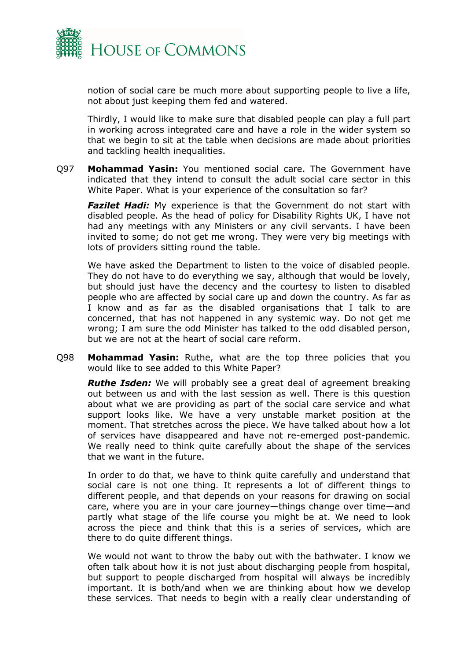![](_page_31_Picture_0.jpeg)

notion of social care be much more about supporting people to live a life, not about just keeping them fed and watered.

Thirdly, I would like to make sure that disabled people can play a full part in working across integrated care and have a role in the wider system so that we begin to sit at the table when decisions are made about priorities and tackling health inequalities.

Q97 **Mohammad Yasin:** You mentioned social care. The Government have indicated that they intend to consult the adult social care sector in this White Paper. What is your experience of the consultation so far?

**Fazilet Hadi:** My experience is that the Government do not start with disabled people. As the head of policy for Disability Rights UK, I have not had any meetings with any Ministers or any civil servants. I have been invited to some; do not get me wrong. They were very big meetings with lots of providers sitting round the table.

We have asked the Department to listen to the voice of disabled people. They do not have to do everything we say, although that would be lovely, but should just have the decency and the courtesy to listen to disabled people who are affected by social care up and down the country. As far as I know and as far as the disabled organisations that I talk to are concerned, that has not happened in any systemic way. Do not get me wrong; I am sure the odd Minister has talked to the odd disabled person, but we are not at the heart of social care reform.

Q98 **Mohammad Yasin:** Ruthe, what are the top three policies that you would like to see added to this White Paper?

*Ruthe Isden:* We will probably see a great deal of agreement breaking out between us and with the last session as well. There is this question about what we are providing as part of the social care service and what support looks like. We have a very unstable market position at the moment. That stretches across the piece. We have talked about how a lot of services have disappeared and have not re-emerged post-pandemic. We really need to think quite carefully about the shape of the services that we want in the future.

In order to do that, we have to think quite carefully and understand that social care is not one thing. It represents a lot of different things to different people, and that depends on your reasons for drawing on social care, where you are in your care journey—things change over time—and partly what stage of the life course you might be at. We need to look across the piece and think that this is a series of services, which are there to do quite different things.

We would not want to throw the baby out with the bathwater. I know we often talk about how it is not just about discharging people from hospital, but support to people discharged from hospital will always be incredibly important. It is both/and when we are thinking about how we develop these services. That needs to begin with a really clear understanding of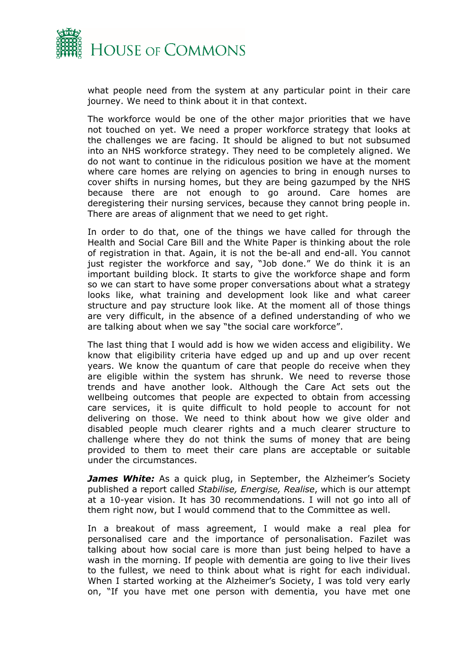![](_page_32_Picture_0.jpeg)

what people need from the system at any particular point in their care journey. We need to think about it in that context.

The workforce would be one of the other major priorities that we have not touched on yet. We need a proper workforce strategy that looks at the challenges we are facing. It should be aligned to but not subsumed into an NHS workforce strategy. They need to be completely aligned. We do not want to continue in the ridiculous position we have at the moment where care homes are relying on agencies to bring in enough nurses to cover shifts in nursing homes, but they are being gazumped by the NHS because there are not enough to go around. Care homes are deregistering their nursing services, because they cannot bring people in. There are areas of alignment that we need to get right.

In order to do that, one of the things we have called for through the Health and Social Care Bill and the White Paper is thinking about the role of registration in that. Again, it is not the be-all and end-all. You cannot just register the workforce and say, "Job done." We do think it is an important building block. It starts to give the workforce shape and form so we can start to have some proper conversations about what a strategy looks like, what training and development look like and what career structure and pay structure look like. At the moment all of those things are very difficult, in the absence of a defined understanding of who we are talking about when we say "the social care workforce".

The last thing that I would add is how we widen access and eligibility. We know that eligibility criteria have edged up and up and up over recent years. We know the quantum of care that people do receive when they are eligible within the system has shrunk. We need to reverse those trends and have another look. Although the Care Act sets out the wellbeing outcomes that people are expected to obtain from accessing care services, it is quite difficult to hold people to account for not delivering on those. We need to think about how we give older and disabled people much clearer rights and a much clearer structure to challenge where they do not think the sums of money that are being provided to them to meet their care plans are acceptable or suitable under the circumstances.

**James White:** As a quick plug, in September, the Alzheimer's Society published a report called *Stabilise, Energise, Realise*, which is our attempt at a 10-year vision. It has 30 recommendations. I will not go into all of them right now, but I would commend that to the Committee as well.

In a breakout of mass agreement, I would make a real plea for personalised care and the importance of personalisation. Fazilet was talking about how social care is more than just being helped to have a wash in the morning. If people with dementia are going to live their lives to the fullest, we need to think about what is right for each individual. When I started working at the Alzheimer's Society, I was told very early on, "If you have met one person with dementia, you have met one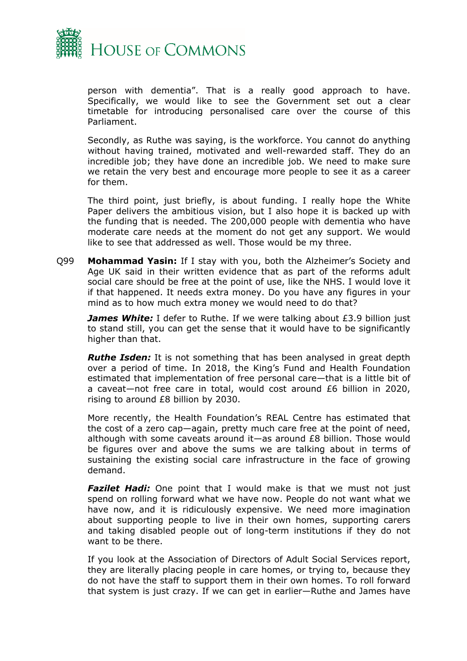![](_page_33_Picture_0.jpeg)

person with dementia". That is a really good approach to have. Specifically, we would like to see the Government set out a clear timetable for introducing personalised care over the course of this Parliament.

Secondly, as Ruthe was saying, is the workforce. You cannot do anything without having trained, motivated and well-rewarded staff. They do an incredible job; they have done an incredible job. We need to make sure we retain the very best and encourage more people to see it as a career for them.

The third point, just briefly, is about funding. I really hope the White Paper delivers the ambitious vision, but I also hope it is backed up with the funding that is needed. The 200,000 people with dementia who have moderate care needs at the moment do not get any support. We would like to see that addressed as well. Those would be my three.

Q99 **Mohammad Yasin:** If I stay with you, both the Alzheimer's Society and Age UK said in their written evidence that as part of the reforms adult social care should be free at the point of use, like the NHS. I would love it if that happened. It needs extra money. Do you have any figures in your mind as to how much extra money we would need to do that?

*James White:* I defer to Ruthe. If we were talking about £3.9 billion just to stand still, you can get the sense that it would have to be significantly higher than that.

*Ruthe Isden:* It is not something that has been analysed in great depth over a period of time. In 2018, the King's Fund and Health Foundation estimated that implementation of free personal care—that is a little bit of a caveat—not free care in total, would cost around £6 billion in 2020, rising to around £8 billion by 2030.

More recently, the Health Foundation's REAL Centre has estimated that the cost of a zero cap—again, pretty much care free at the point of need, although with some caveats around it—as around £8 billion. Those would be figures over and above the sums we are talking about in terms of sustaining the existing social care infrastructure in the face of growing demand.

*Fazilet Hadi:* One point that I would make is that we must not just spend on rolling forward what we have now. People do not want what we have now, and it is ridiculously expensive. We need more imagination about supporting people to live in their own homes, supporting carers and taking disabled people out of long-term institutions if they do not want to be there.

If you look at the Association of Directors of Adult Social Services report, they are literally placing people in care homes, or trying to, because they do not have the staff to support them in their own homes. To roll forward that system is just crazy. If we can get in earlier—Ruthe and James have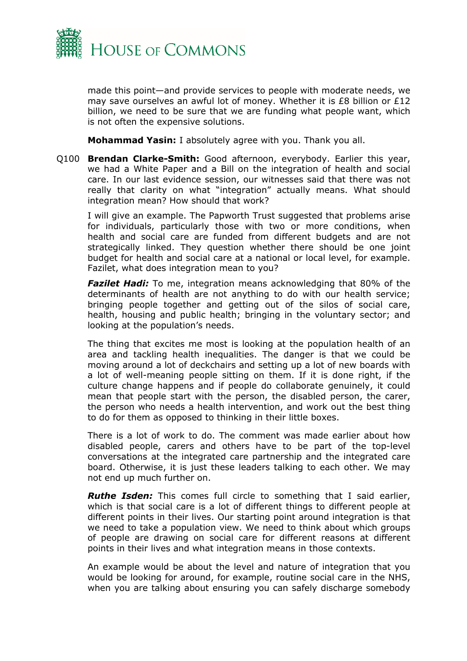![](_page_34_Picture_0.jpeg)

made this point—and provide services to people with moderate needs, we may save ourselves an awful lot of money. Whether it is £8 billion or £12 billion, we need to be sure that we are funding what people want, which is not often the expensive solutions.

**Mohammad Yasin:** I absolutely agree with you. Thank you all.

Q100 **Brendan Clarke-Smith:** Good afternoon, everybody. Earlier this year, we had a White Paper and a Bill on the integration of health and social care. In our last evidence session, our witnesses said that there was not really that clarity on what "integration" actually means. What should integration mean? How should that work?

I will give an example. The Papworth Trust suggested that problems arise for individuals, particularly those with two or more conditions, when health and social care are funded from different budgets and are not strategically linked. They question whether there should be one joint budget for health and social care at a national or local level, for example. Fazilet, what does integration mean to you?

*Fazilet Hadi:* To me, integration means acknowledging that 80% of the determinants of health are not anything to do with our health service; bringing people together and getting out of the silos of social care, health, housing and public health; bringing in the voluntary sector; and looking at the population's needs.

The thing that excites me most is looking at the population health of an area and tackling health inequalities. The danger is that we could be moving around a lot of deckchairs and setting up a lot of new boards with a lot of well-meaning people sitting on them. If it is done right, if the culture change happens and if people do collaborate genuinely, it could mean that people start with the person, the disabled person, the carer, the person who needs a health intervention, and work out the best thing to do for them as opposed to thinking in their little boxes.

There is a lot of work to do. The comment was made earlier about how disabled people, carers and others have to be part of the top-level conversations at the integrated care partnership and the integrated care board. Otherwise, it is just these leaders talking to each other. We may not end up much further on.

*Ruthe Isden:* This comes full circle to something that I said earlier, which is that social care is a lot of different things to different people at different points in their lives. Our starting point around integration is that we need to take a population view. We need to think about which groups of people are drawing on social care for different reasons at different points in their lives and what integration means in those contexts.

An example would be about the level and nature of integration that you would be looking for around, for example, routine social care in the NHS, when you are talking about ensuring you can safely discharge somebody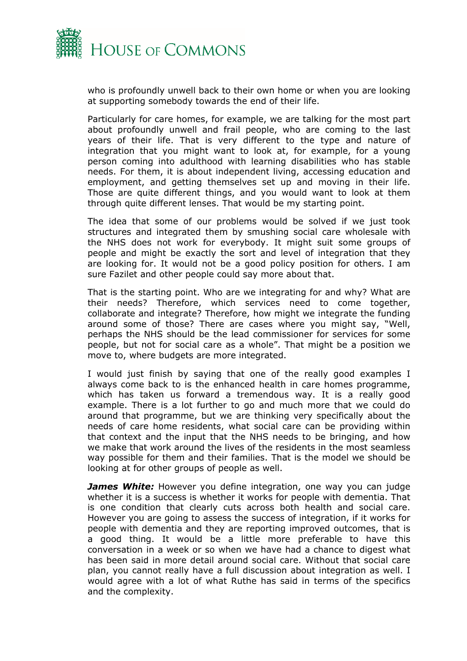![](_page_35_Picture_0.jpeg)

who is profoundly unwell back to their own home or when you are looking at supporting somebody towards the end of their life.

Particularly for care homes, for example, we are talking for the most part about profoundly unwell and frail people, who are coming to the last years of their life. That is very different to the type and nature of integration that you might want to look at, for example, for a young person coming into adulthood with learning disabilities who has stable needs. For them, it is about independent living, accessing education and employment, and getting themselves set up and moving in their life. Those are quite different things, and you would want to look at them through quite different lenses. That would be my starting point.

The idea that some of our problems would be solved if we just took structures and integrated them by smushing social care wholesale with the NHS does not work for everybody. It might suit some groups of people and might be exactly the sort and level of integration that they are looking for. It would not be a good policy position for others. I am sure Fazilet and other people could say more about that.

That is the starting point. Who are we integrating for and why? What are their needs? Therefore, which services need to come together, collaborate and integrate? Therefore, how might we integrate the funding around some of those? There are cases where you might say, "Well, perhaps the NHS should be the lead commissioner for services for some people, but not for social care as a whole". That might be a position we move to, where budgets are more integrated.

I would just finish by saying that one of the really good examples I always come back to is the enhanced health in care homes programme, which has taken us forward a tremendous way. It is a really good example. There is a lot further to go and much more that we could do around that programme, but we are thinking very specifically about the needs of care home residents, what social care can be providing within that context and the input that the NHS needs to be bringing, and how we make that work around the lives of the residents in the most seamless way possible for them and their families. That is the model we should be looking at for other groups of people as well.

*James White:* However you define integration, one way you can judge whether it is a success is whether it works for people with dementia. That is one condition that clearly cuts across both health and social care. However you are going to assess the success of integration, if it works for people with dementia and they are reporting improved outcomes, that is a good thing. It would be a little more preferable to have this conversation in a week or so when we have had a chance to digest what has been said in more detail around social care. Without that social care plan, you cannot really have a full discussion about integration as well. I would agree with a lot of what Ruthe has said in terms of the specifics and the complexity.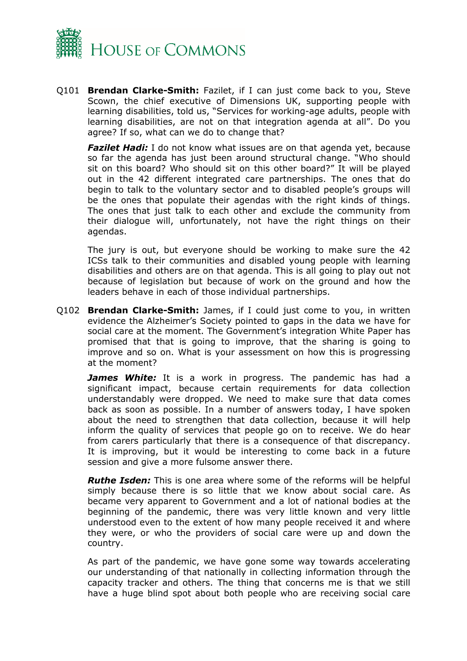![](_page_36_Picture_0.jpeg)

Q101 **Brendan Clarke-Smith:** Fazilet, if I can just come back to you, Steve Scown, the chief executive of Dimensions UK, supporting people with learning disabilities, told us, "Services for working-age adults, people with learning disabilities, are not on that integration agenda at all". Do you agree? If so, what can we do to change that?

*Fazilet Hadi:* I do not know what issues are on that agenda yet, because so far the agenda has just been around structural change. "Who should sit on this board? Who should sit on this other board?" It will be played out in the 42 different integrated care partnerships. The ones that do begin to talk to the voluntary sector and to disabled people's groups will be the ones that populate their agendas with the right kinds of things. The ones that just talk to each other and exclude the community from their dialogue will, unfortunately, not have the right things on their agendas.

The jury is out, but everyone should be working to make sure the 42 ICSs talk to their communities and disabled young people with learning disabilities and others are on that agenda. This is all going to play out not because of legislation but because of work on the ground and how the leaders behave in each of those individual partnerships.

Q102 **Brendan Clarke-Smith:** James, if I could just come to you, in written evidence the Alzheimer's Society pointed to gaps in the data we have for social care at the moment. The Government's integration White Paper has promised that that is going to improve, that the sharing is going to improve and so on. What is your assessment on how this is progressing at the moment?

*James White:* It is a work in progress. The pandemic has had a significant impact, because certain requirements for data collection understandably were dropped. We need to make sure that data comes back as soon as possible. In a number of answers today, I have spoken about the need to strengthen that data collection, because it will help inform the quality of services that people go on to receive. We do hear from carers particularly that there is a consequence of that discrepancy. It is improving, but it would be interesting to come back in a future session and give a more fulsome answer there.

*Ruthe Isden:* This is one area where some of the reforms will be helpful simply because there is so little that we know about social care. As became very apparent to Government and a lot of national bodies at the beginning of the pandemic, there was very little known and very little understood even to the extent of how many people received it and where they were, or who the providers of social care were up and down the country.

As part of the pandemic, we have gone some way towards accelerating our understanding of that nationally in collecting information through the capacity tracker and others. The thing that concerns me is that we still have a huge blind spot about both people who are receiving social care